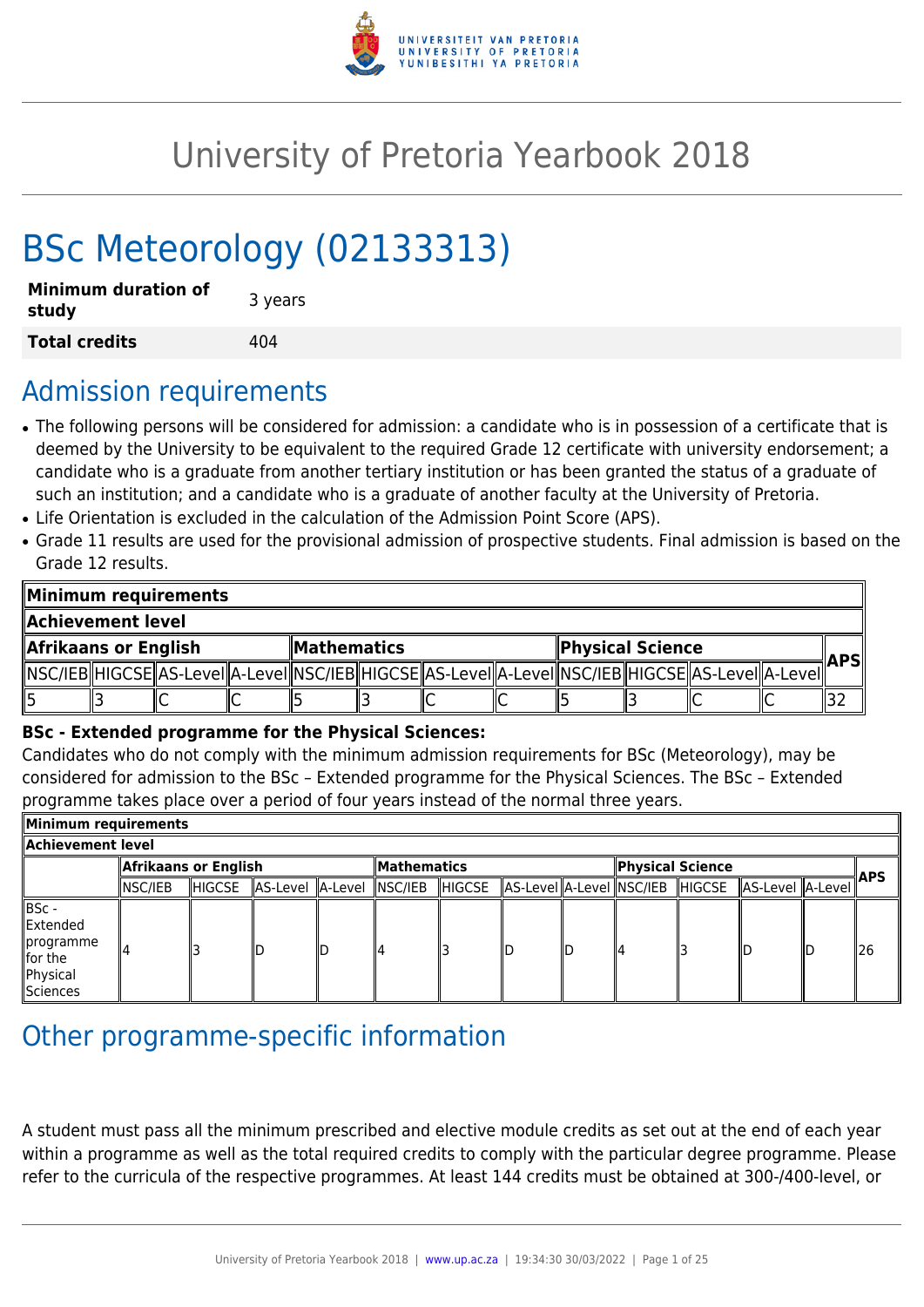

# University of Pretoria Yearbook 2018

# BSc Meteorology (02133313)

| <b>Minimum duration of</b><br>study | 3 years |
|-------------------------------------|---------|
| <b>Total credits</b>                | 404     |

# Admission requirements

- The following persons will be considered for admission: a candidate who is in possession of a certificate that is deemed by the University to be equivalent to the required Grade 12 certificate with university endorsement; a candidate who is a graduate from another tertiary institution or has been granted the status of a graduate of such an institution; and a candidate who is a graduate of another faculty at the University of Pretoria.
- Life Orientation is excluded in the calculation of the Admission Point Score (APS).
- Grade 11 results are used for the provisional admission of prospective students. Final admission is based on the Grade 12 results.

| Minimum requirements |  |                                                                                                            |  |                            |  |  |                  |  |  |             |  |  |
|----------------------|--|------------------------------------------------------------------------------------------------------------|--|----------------------------|--|--|------------------|--|--|-------------|--|--|
| Achievement level.   |  |                                                                                                            |  |                            |  |  |                  |  |  |             |  |  |
| Afrikaans or English |  |                                                                                                            |  | $\blacksquare$ Mathematics |  |  | Physical Science |  |  | <b>APSI</b> |  |  |
|                      |  | NSC/IEB  HIGCSE  AS-LeveI  A-LeveI  NSC/IEB  HIGCSE  AS-LeveI  A-LeveI  NSC/IEB  HIGCSE  AS-LeveI  A-LeveI |  |                            |  |  |                  |  |  |             |  |  |
| 15                   |  | ◡                                                                                                          |  |                            |  |  |                  |  |  |             |  |  |

# **BSc - Extended programme for the Physical Sciences:**

Candidates who do not comply with the minimum admission requirements for BSc (Meteorology), may be considered for admission to the BSc – Extended programme for the Physical Sciences. The BSc – Extended programme takes place over a period of four years instead of the normal three years.

| Minimum requirements                                                       |                      |        |                  |     |                    |               |  |                  |                                 |  |                    |  |      |
|----------------------------------------------------------------------------|----------------------|--------|------------------|-----|--------------------|---------------|--|------------------|---------------------------------|--|--------------------|--|------|
| Achievement level                                                          |                      |        |                  |     |                    |               |  |                  |                                 |  |                    |  |      |
|                                                                            | Afrikaans or English |        |                  |     | <b>Mathematics</b> |               |  | Physical Science |                                 |  |                    |  |      |
|                                                                            | NSC/IEB              | HIGCSE | AS-Level A-Level |     | $ $ NSC/IEB        | <b>HIGCSE</b> |  |                  | AS-Level A-Level NSC/IEB HIGCSE |  | AS-Level   A-Level |  | ∦APS |
| ∥BSc -<br>llExtended<br>∥programme<br>$\ $ for the<br>Physical<br>Sciences |                      |        | IΓ               | llD |                    |               |  | ID               | 114                             |  | llС                |  | ll26 |

# Other programme-specific information

A student must pass all the minimum prescribed and elective module credits as set out at the end of each year within a programme as well as the total required credits to comply with the particular degree programme. Please refer to the curricula of the respective programmes. At least 144 credits must be obtained at 300-/400-level, or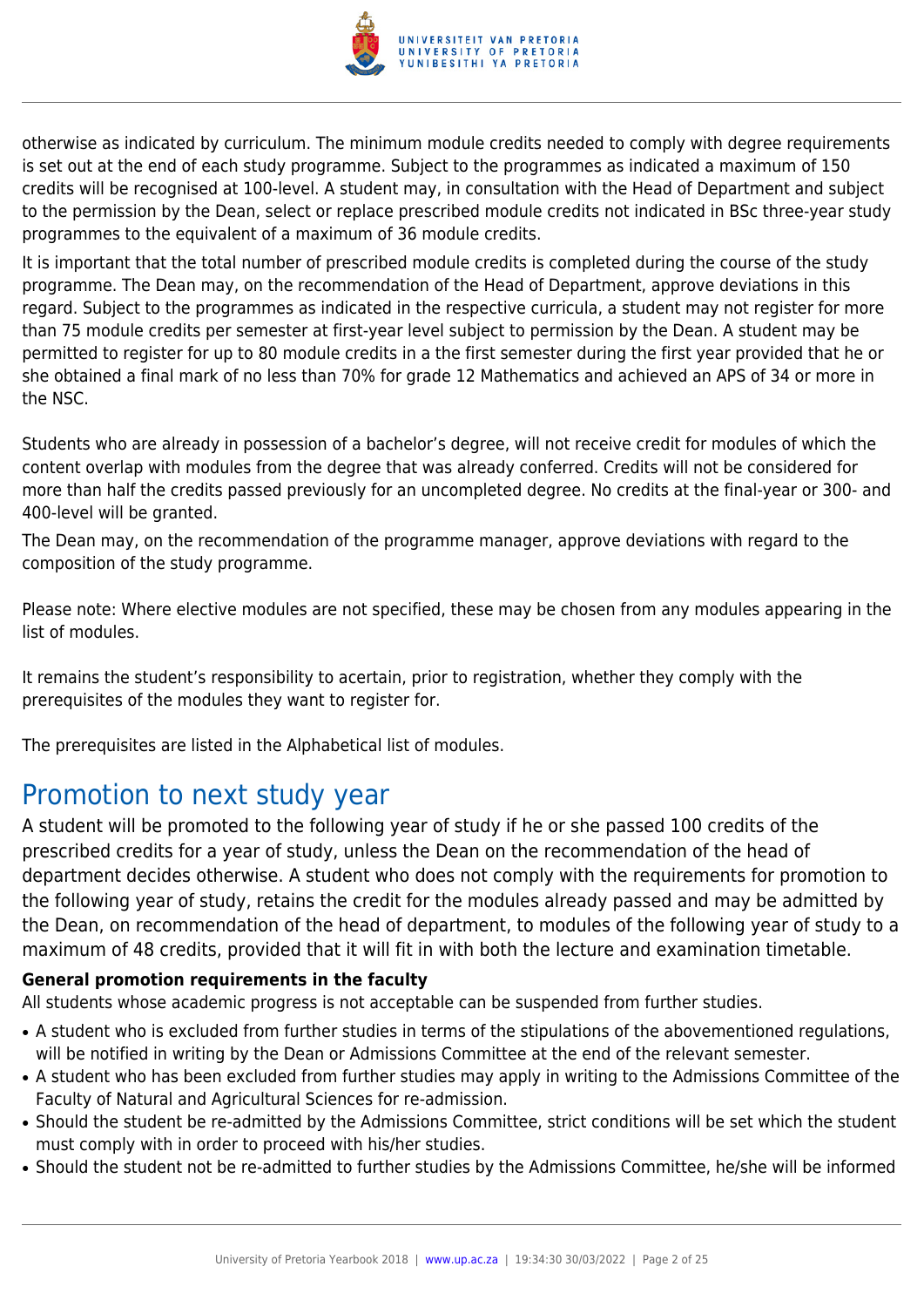

otherwise as indicated by curriculum. The minimum module credits needed to comply with degree requirements is set out at the end of each study programme. Subject to the programmes as indicated a maximum of 150 credits will be recognised at 100-level. A student may, in consultation with the Head of Department and subject to the permission by the Dean, select or replace prescribed module credits not indicated in BSc three-year study programmes to the equivalent of a maximum of 36 module credits.

It is important that the total number of prescribed module credits is completed during the course of the study programme. The Dean may, on the recommendation of the Head of Department, approve deviations in this regard. Subject to the programmes as indicated in the respective curricula, a student may not register for more than 75 module credits per semester at first-year level subject to permission by the Dean. A student may be permitted to register for up to 80 module credits in a the first semester during the first year provided that he or she obtained a final mark of no less than 70% for grade 12 Mathematics and achieved an APS of 34 or more in the NSC.

Students who are already in possession of a bachelor's degree, will not receive credit for modules of which the content overlap with modules from the degree that was already conferred. Credits will not be considered for more than half the credits passed previously for an uncompleted degree. No credits at the final-year or 300- and 400-level will be granted.

The Dean may, on the recommendation of the programme manager, approve deviations with regard to the composition of the study programme.

Please note: Where elective modules are not specified, these may be chosen from any modules appearing in the list of modules.

It remains the student's responsibility to acertain, prior to registration, whether they comply with the prerequisites of the modules they want to register for.

The prerequisites are listed in the Alphabetical list of modules.

# Promotion to next study year

A student will be promoted to the following year of study if he or she passed 100 credits of the prescribed credits for a year of study, unless the Dean on the recommendation of the head of department decides otherwise. A student who does not comply with the requirements for promotion to the following year of study, retains the credit for the modules already passed and may be admitted by the Dean, on recommendation of the head of department, to modules of the following year of study to a maximum of 48 credits, provided that it will fit in with both the lecture and examination timetable.

# **General promotion requirements in the faculty**

All students whose academic progress is not acceptable can be suspended from further studies.

- A student who is excluded from further studies in terms of the stipulations of the abovementioned regulations, will be notified in writing by the Dean or Admissions Committee at the end of the relevant semester.
- A student who has been excluded from further studies may apply in writing to the Admissions Committee of the Faculty of Natural and Agricultural Sciences for re-admission.
- Should the student be re-admitted by the Admissions Committee, strict conditions will be set which the student must comply with in order to proceed with his/her studies.
- Should the student not be re-admitted to further studies by the Admissions Committee, he/she will be informed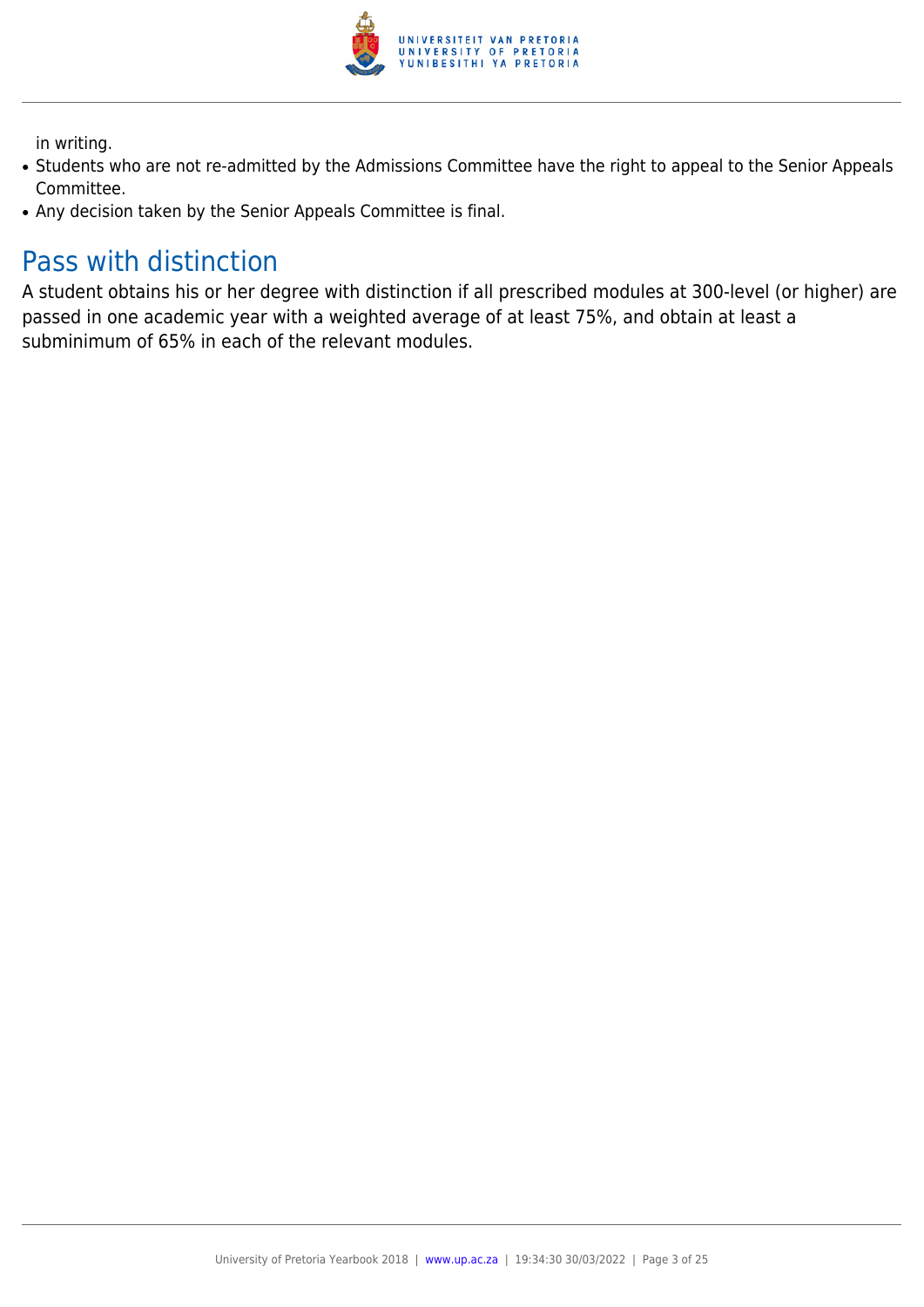

in writing.

- Students who are not re-admitted by the Admissions Committee have the right to appeal to the Senior Appeals Committee.
- Any decision taken by the Senior Appeals Committee is final.

# Pass with distinction

A student obtains his or her degree with distinction if all prescribed modules at 300-level (or higher) are passed in one academic year with a weighted average of at least 75%, and obtain at least a subminimum of 65% in each of the relevant modules.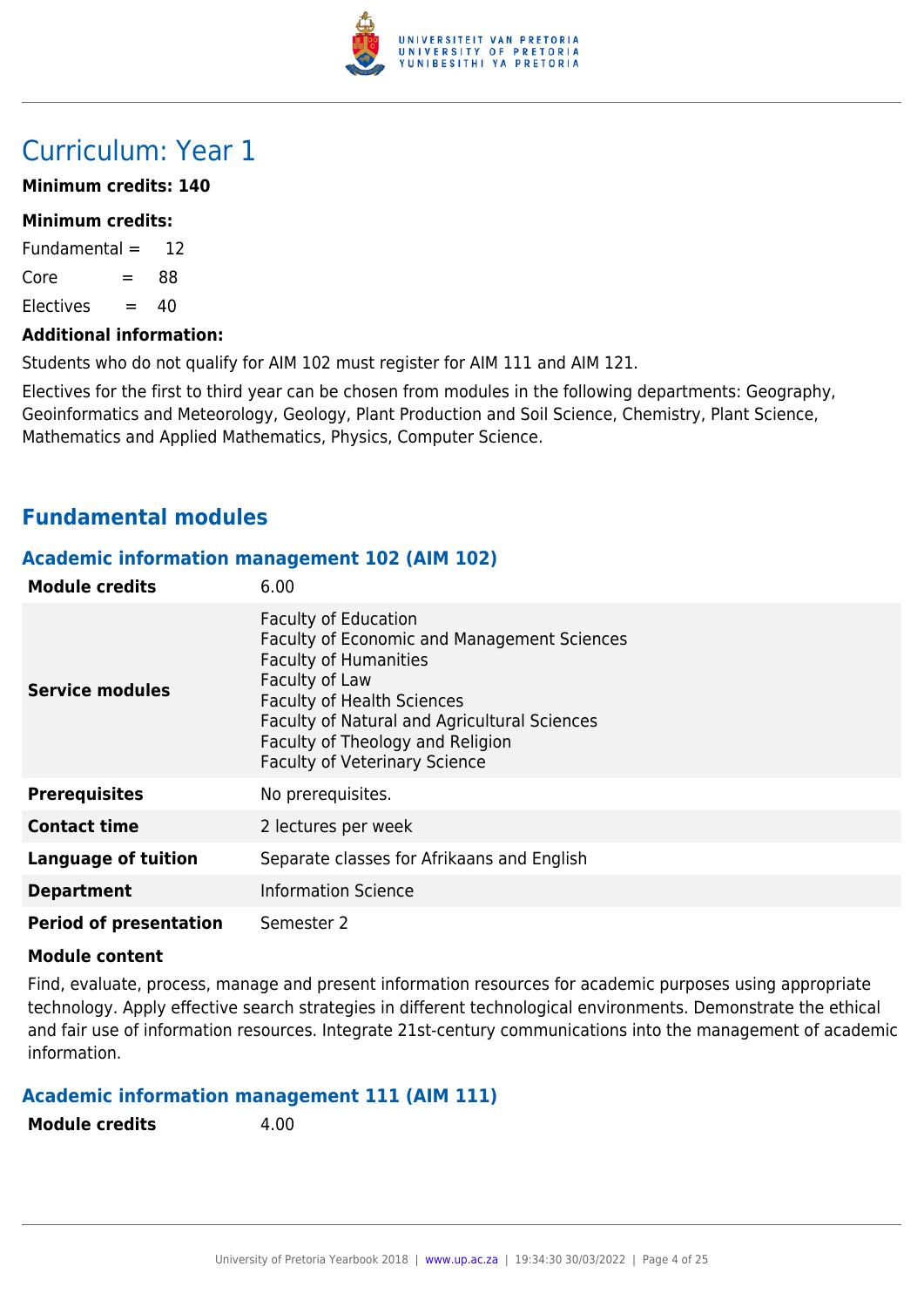

# Curriculum: Year 1

# **Minimum credits: 140**

#### **Minimum credits:**

Fundamental  $=$  12  $Core = 88$  $F$ lectives  $= 40$ 

#### **Additional information:**

Students who do not qualify for AIM 102 must register for AIM 111 and AIM 121.

Electives for the first to third year can be chosen from modules in the following departments: Geography, Geoinformatics and Meteorology, Geology, Plant Production and Soil Science, Chemistry, Plant Science, Mathematics and Applied Mathematics, Physics, Computer Science.

# **Fundamental modules**

# **Academic information management 102 (AIM 102)**

| <b>Module credits</b>         | 6.00                                                                                                                                                                                                                                                                                                        |
|-------------------------------|-------------------------------------------------------------------------------------------------------------------------------------------------------------------------------------------------------------------------------------------------------------------------------------------------------------|
| <b>Service modules</b>        | <b>Faculty of Education</b><br><b>Faculty of Economic and Management Sciences</b><br><b>Faculty of Humanities</b><br>Faculty of Law<br><b>Faculty of Health Sciences</b><br><b>Faculty of Natural and Agricultural Sciences</b><br>Faculty of Theology and Religion<br><b>Faculty of Veterinary Science</b> |
| <b>Prerequisites</b>          | No prerequisites.                                                                                                                                                                                                                                                                                           |
| <b>Contact time</b>           | 2 lectures per week                                                                                                                                                                                                                                                                                         |
| <b>Language of tuition</b>    | Separate classes for Afrikaans and English                                                                                                                                                                                                                                                                  |
| <b>Department</b>             | <b>Information Science</b>                                                                                                                                                                                                                                                                                  |
| <b>Period of presentation</b> | Semester 2                                                                                                                                                                                                                                                                                                  |

#### **Module content**

Find, evaluate, process, manage and present information resources for academic purposes using appropriate technology. Apply effective search strategies in different technological environments. Demonstrate the ethical and fair use of information resources. Integrate 21st-century communications into the management of academic information.

# **Academic information management 111 (AIM 111)**

| <b>Module credits</b> | 4.00 |
|-----------------------|------|
|                       |      |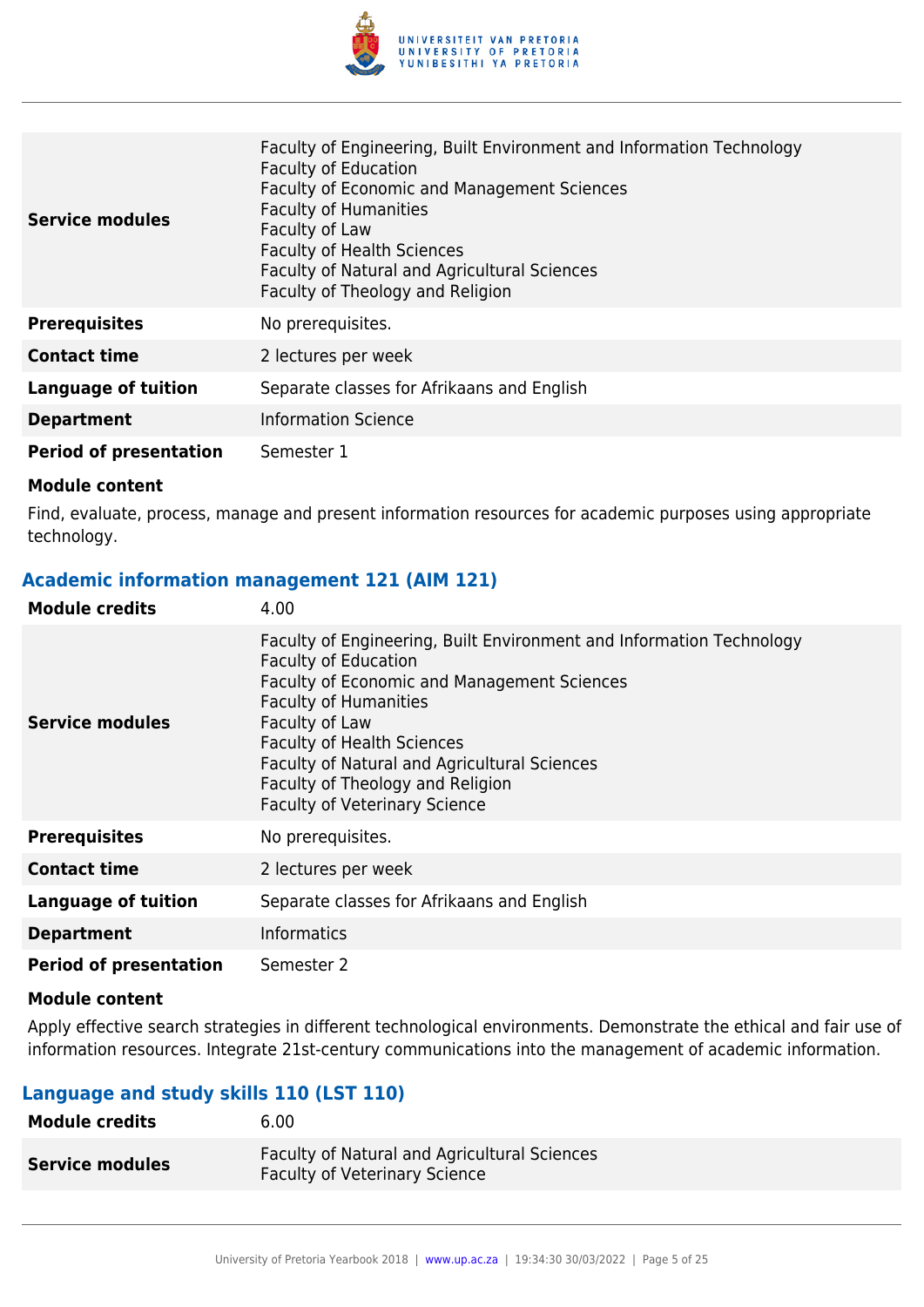

| Service modules               | Faculty of Engineering, Built Environment and Information Technology<br><b>Faculty of Education</b><br>Faculty of Economic and Management Sciences<br><b>Faculty of Humanities</b><br>Faculty of Law<br><b>Faculty of Health Sciences</b><br>Faculty of Natural and Agricultural Sciences<br>Faculty of Theology and Religion |
|-------------------------------|-------------------------------------------------------------------------------------------------------------------------------------------------------------------------------------------------------------------------------------------------------------------------------------------------------------------------------|
| <b>Prerequisites</b>          | No prerequisites.                                                                                                                                                                                                                                                                                                             |
| <b>Contact time</b>           | 2 lectures per week                                                                                                                                                                                                                                                                                                           |
| <b>Language of tuition</b>    | Separate classes for Afrikaans and English                                                                                                                                                                                                                                                                                    |
| <b>Department</b>             | <b>Information Science</b>                                                                                                                                                                                                                                                                                                    |
| <b>Period of presentation</b> | Semester 1                                                                                                                                                                                                                                                                                                                    |

Find, evaluate, process, manage and present information resources for academic purposes using appropriate technology.

# **Academic information management 121 (AIM 121)**

| <b>Module credits</b>         | 4.00                                                                                                                                                                                                                                                                                                                                                                  |
|-------------------------------|-----------------------------------------------------------------------------------------------------------------------------------------------------------------------------------------------------------------------------------------------------------------------------------------------------------------------------------------------------------------------|
| Service modules               | Faculty of Engineering, Built Environment and Information Technology<br><b>Faculty of Education</b><br>Faculty of Economic and Management Sciences<br><b>Faculty of Humanities</b><br>Faculty of Law<br><b>Faculty of Health Sciences</b><br>Faculty of Natural and Agricultural Sciences<br>Faculty of Theology and Religion<br><b>Faculty of Veterinary Science</b> |
| <b>Prerequisites</b>          | No prerequisites.                                                                                                                                                                                                                                                                                                                                                     |
| <b>Contact time</b>           | 2 lectures per week                                                                                                                                                                                                                                                                                                                                                   |
| <b>Language of tuition</b>    | Separate classes for Afrikaans and English                                                                                                                                                                                                                                                                                                                            |
| <b>Department</b>             | <b>Informatics</b>                                                                                                                                                                                                                                                                                                                                                    |
| <b>Period of presentation</b> | Semester 2                                                                                                                                                                                                                                                                                                                                                            |

#### **Module content**

Apply effective search strategies in different technological environments. Demonstrate the ethical and fair use of information resources. Integrate 21st-century communications into the management of academic information.

# **Language and study skills 110 (LST 110)**

| <b>Module credits</b>  | 6.00                                                                                        |
|------------------------|---------------------------------------------------------------------------------------------|
| <b>Service modules</b> | <b>Faculty of Natural and Agricultural Sciences</b><br><b>Faculty of Veterinary Science</b> |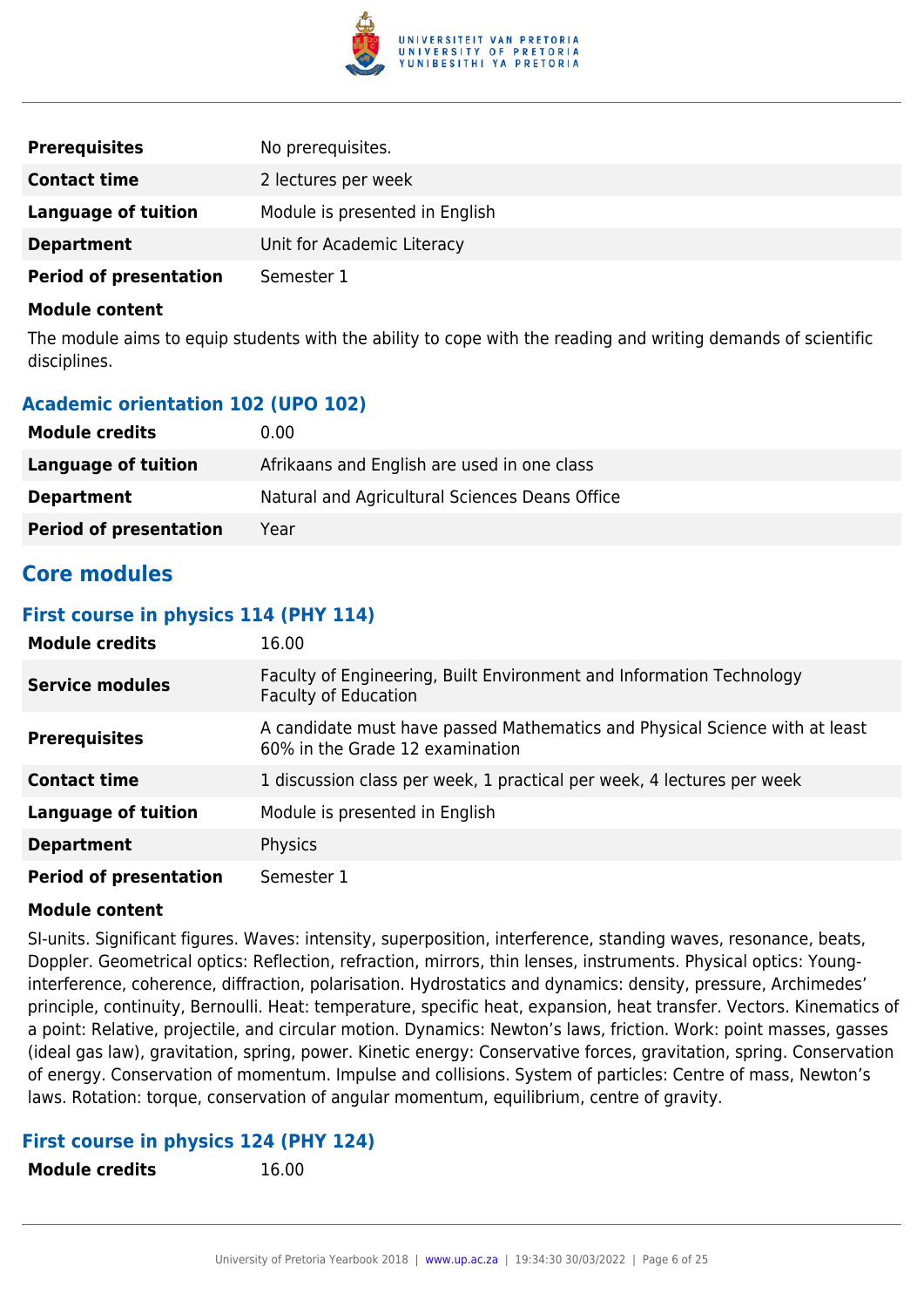

| <b>Prerequisites</b>          | No prerequisites.              |
|-------------------------------|--------------------------------|
| <b>Contact time</b>           | 2 lectures per week            |
| Language of tuition           | Module is presented in English |
| <b>Department</b>             | Unit for Academic Literacy     |
| <b>Period of presentation</b> | Semester 1                     |

The module aims to equip students with the ability to cope with the reading and writing demands of scientific disciplines.

# **Academic orientation 102 (UPO 102)**

| <b>Module credits</b>         | 0.00                                           |
|-------------------------------|------------------------------------------------|
| Language of tuition           | Afrikaans and English are used in one class    |
| <b>Department</b>             | Natural and Agricultural Sciences Deans Office |
| <b>Period of presentation</b> | Year                                           |

# **Core modules**

#### **First course in physics 114 (PHY 114)**

| <b>Module credits</b>         | 16.00                                                                                                          |
|-------------------------------|----------------------------------------------------------------------------------------------------------------|
| <b>Service modules</b>        | Faculty of Engineering, Built Environment and Information Technology<br><b>Faculty of Education</b>            |
| <b>Prerequisites</b>          | A candidate must have passed Mathematics and Physical Science with at least<br>60% in the Grade 12 examination |
| <b>Contact time</b>           | 1 discussion class per week, 1 practical per week, 4 lectures per week                                         |
| Language of tuition           | Module is presented in English                                                                                 |
| <b>Department</b>             | Physics                                                                                                        |
| <b>Period of presentation</b> | Semester 1                                                                                                     |

#### **Module content**

SI-units. Significant figures. Waves: intensity, superposition, interference, standing waves, resonance, beats, Doppler. Geometrical optics: Reflection, refraction, mirrors, thin lenses, instruments. Physical optics: Younginterference, coherence, diffraction, polarisation. Hydrostatics and dynamics: density, pressure, Archimedes' principle, continuity, Bernoulli. Heat: temperature, specific heat, expansion, heat transfer. Vectors. Kinematics of a point: Relative, projectile, and circular motion. Dynamics: Newton's laws, friction. Work: point masses, gasses (ideal gas law), gravitation, spring, power. Kinetic energy: Conservative forces, gravitation, spring. Conservation of energy. Conservation of momentum. Impulse and collisions. System of particles: Centre of mass, Newton's laws. Rotation: torque, conservation of angular momentum, equilibrium, centre of gravity.

# **First course in physics 124 (PHY 124)**

**Module credits** 16.00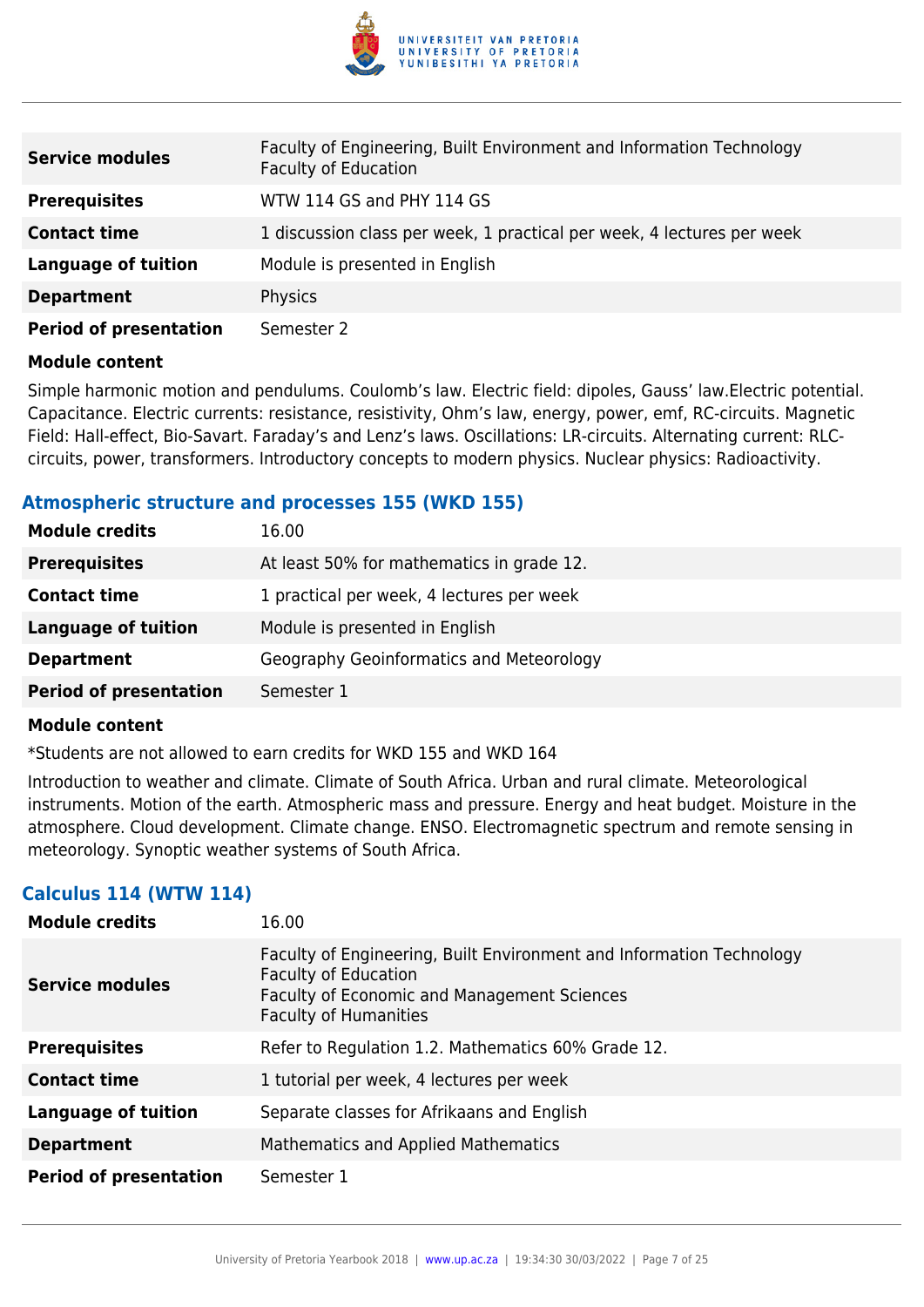

| <b>Service modules</b>        | Faculty of Engineering, Built Environment and Information Technology<br><b>Faculty of Education</b> |
|-------------------------------|-----------------------------------------------------------------------------------------------------|
| <b>Prerequisites</b>          | WTW 114 GS and PHY 114 GS                                                                           |
| <b>Contact time</b>           | 1 discussion class per week, 1 practical per week, 4 lectures per week                              |
| <b>Language of tuition</b>    | Module is presented in English                                                                      |
| <b>Department</b>             | Physics                                                                                             |
| <b>Period of presentation</b> | Semester 2                                                                                          |

Simple harmonic motion and pendulums. Coulomb's law. Electric field: dipoles, Gauss' law.Electric potential. Capacitance. Electric currents: resistance, resistivity, Ohm's law, energy, power, emf, RC-circuits. Magnetic Field: Hall-effect, Bio-Savart. Faraday's and Lenz's laws. Oscillations: LR-circuits. Alternating current: RLCcircuits, power, transformers. Introductory concepts to modern physics. Nuclear physics: Radioactivity.

# **Atmospheric structure and processes 155 (WKD 155)**

| <b>Module credits</b>         | 16.00                                     |
|-------------------------------|-------------------------------------------|
| <b>Prerequisites</b>          | At least 50% for mathematics in grade 12. |
| <b>Contact time</b>           | 1 practical per week, 4 lectures per week |
| <b>Language of tuition</b>    | Module is presented in English            |
| <b>Department</b>             | Geography Geoinformatics and Meteorology  |
| <b>Period of presentation</b> | Semester 1                                |

# **Module content**

\*Students are not allowed to earn credits for WKD 155 and WKD 164

Introduction to weather and climate. Climate of South Africa. Urban and rural climate. Meteorological instruments. Motion of the earth. Atmospheric mass and pressure. Energy and heat budget. Moisture in the atmosphere. Cloud development. Climate change. ENSO. Electromagnetic spectrum and remote sensing in meteorology. Synoptic weather systems of South Africa.

# **Calculus 114 (WTW 114)**

| <b>Module credits</b>         | 16.00                                                                                                                                                                                     |
|-------------------------------|-------------------------------------------------------------------------------------------------------------------------------------------------------------------------------------------|
| <b>Service modules</b>        | Faculty of Engineering, Built Environment and Information Technology<br><b>Faculty of Education</b><br><b>Faculty of Economic and Management Sciences</b><br><b>Faculty of Humanities</b> |
| <b>Prerequisites</b>          | Refer to Regulation 1.2. Mathematics 60% Grade 12.                                                                                                                                        |
| <b>Contact time</b>           | 1 tutorial per week, 4 lectures per week                                                                                                                                                  |
| <b>Language of tuition</b>    | Separate classes for Afrikaans and English                                                                                                                                                |
| <b>Department</b>             | Mathematics and Applied Mathematics                                                                                                                                                       |
| <b>Period of presentation</b> | Semester 1                                                                                                                                                                                |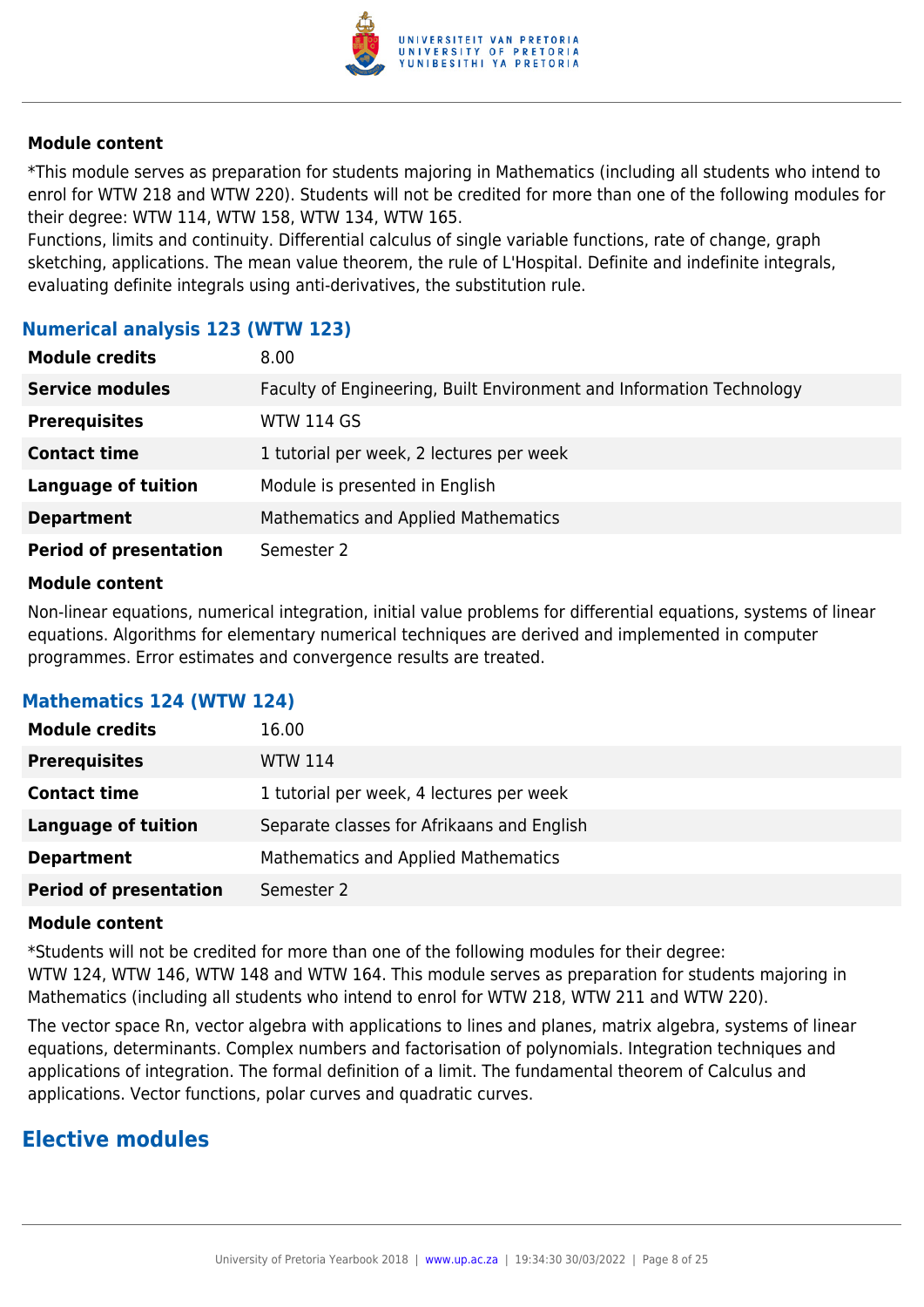

\*This module serves as preparation for students majoring in Mathematics (including all students who intend to enrol for WTW 218 and WTW 220). Students will not be credited for more than one of the following modules for their degree: WTW 114, WTW 158, WTW 134, WTW 165.

Functions, limits and continuity. Differential calculus of single variable functions, rate of change, graph sketching, applications. The mean value theorem, the rule of L'Hospital. Definite and indefinite integrals, evaluating definite integrals using anti-derivatives, the substitution rule.

# **Numerical analysis 123 (WTW 123)**

| <b>Module credits</b>         | 8.00                                                                 |
|-------------------------------|----------------------------------------------------------------------|
| <b>Service modules</b>        | Faculty of Engineering, Built Environment and Information Technology |
| <b>Prerequisites</b>          | <b>WTW 114 GS</b>                                                    |
| <b>Contact time</b>           | 1 tutorial per week, 2 lectures per week                             |
| <b>Language of tuition</b>    | Module is presented in English                                       |
| <b>Department</b>             | Mathematics and Applied Mathematics                                  |
| <b>Period of presentation</b> | Semester 2                                                           |

#### **Module content**

Non-linear equations, numerical integration, initial value problems for differential equations, systems of linear equations. Algorithms for elementary numerical techniques are derived and implemented in computer programmes. Error estimates and convergence results are treated.

# **Mathematics 124 (WTW 124)**

| <b>Module credits</b>         | 16.00                                      |
|-------------------------------|--------------------------------------------|
| <b>Prerequisites</b>          | <b>WTW 114</b>                             |
| <b>Contact time</b>           | 1 tutorial per week, 4 lectures per week   |
| <b>Language of tuition</b>    | Separate classes for Afrikaans and English |
| <b>Department</b>             | Mathematics and Applied Mathematics        |
| <b>Period of presentation</b> | Semester 2                                 |

#### **Module content**

\*Students will not be credited for more than one of the following modules for their degree: WTW 124, WTW 146, WTW 148 and WTW 164. This module serves as preparation for students majoring in Mathematics (including all students who intend to enrol for WTW 218, WTW 211 and WTW 220).

The vector space Rn, vector algebra with applications to lines and planes, matrix algebra, systems of linear equations, determinants. Complex numbers and factorisation of polynomials. Integration techniques and applications of integration. The formal definition of a limit. The fundamental theorem of Calculus and applications. Vector functions, polar curves and quadratic curves.

# **Elective modules**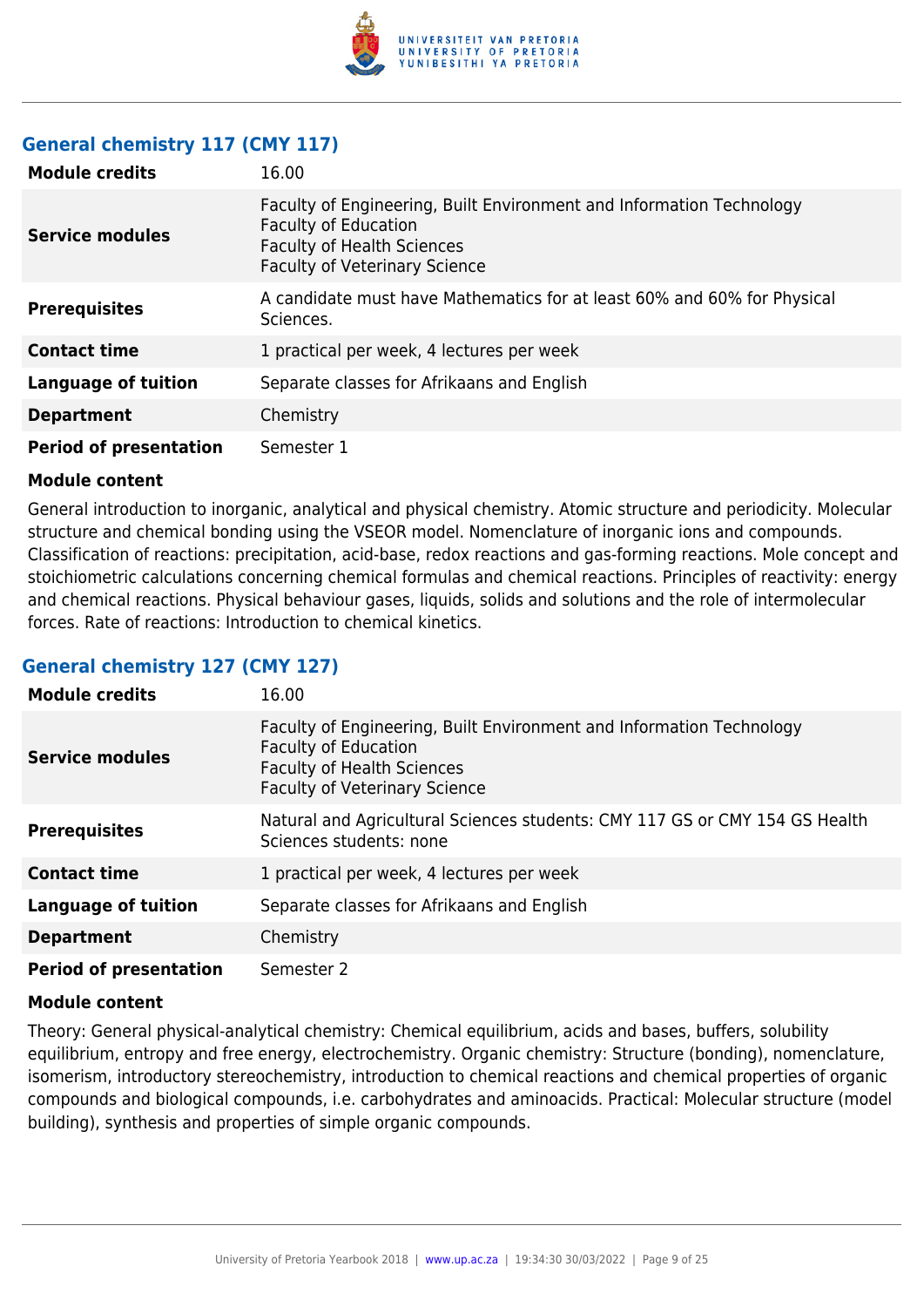

# **General chemistry 117 (CMY 117)**

| <b>Module credits</b>         | 16.00                                                                                                                                                                            |
|-------------------------------|----------------------------------------------------------------------------------------------------------------------------------------------------------------------------------|
| <b>Service modules</b>        | Faculty of Engineering, Built Environment and Information Technology<br><b>Faculty of Education</b><br><b>Faculty of Health Sciences</b><br><b>Faculty of Veterinary Science</b> |
| <b>Prerequisites</b>          | A candidate must have Mathematics for at least 60% and 60% for Physical<br>Sciences.                                                                                             |
| <b>Contact time</b>           | 1 practical per week, 4 lectures per week                                                                                                                                        |
| <b>Language of tuition</b>    | Separate classes for Afrikaans and English                                                                                                                                       |
| <b>Department</b>             | Chemistry                                                                                                                                                                        |
| <b>Period of presentation</b> | Semester 1                                                                                                                                                                       |

#### **Module content**

General introduction to inorganic, analytical and physical chemistry. Atomic structure and periodicity. Molecular structure and chemical bonding using the VSEOR model. Nomenclature of inorganic ions and compounds. Classification of reactions: precipitation, acid-base, redox reactions and gas-forming reactions. Mole concept and stoichiometric calculations concerning chemical formulas and chemical reactions. Principles of reactivity: energy and chemical reactions. Physical behaviour gases, liquids, solids and solutions and the role of intermolecular forces. Rate of reactions: Introduction to chemical kinetics.

# **General chemistry 127 (CMY 127)**

| <b>Module credits</b>         | 16.00                                                                                                                                                                            |
|-------------------------------|----------------------------------------------------------------------------------------------------------------------------------------------------------------------------------|
| Service modules               | Faculty of Engineering, Built Environment and Information Technology<br><b>Faculty of Education</b><br><b>Faculty of Health Sciences</b><br><b>Faculty of Veterinary Science</b> |
| <b>Prerequisites</b>          | Natural and Agricultural Sciences students: CMY 117 GS or CMY 154 GS Health<br>Sciences students; none                                                                           |
| <b>Contact time</b>           | 1 practical per week, 4 lectures per week                                                                                                                                        |
| <b>Language of tuition</b>    | Separate classes for Afrikaans and English                                                                                                                                       |
| <b>Department</b>             | Chemistry                                                                                                                                                                        |
| <b>Period of presentation</b> | Semester 2                                                                                                                                                                       |

#### **Module content**

Theory: General physical-analytical chemistry: Chemical equilibrium, acids and bases, buffers, solubility equilibrium, entropy and free energy, electrochemistry. Organic chemistry: Structure (bonding), nomenclature, isomerism, introductory stereochemistry, introduction to chemical reactions and chemical properties of organic compounds and biological compounds, i.e. carbohydrates and aminoacids. Practical: Molecular structure (model building), synthesis and properties of simple organic compounds.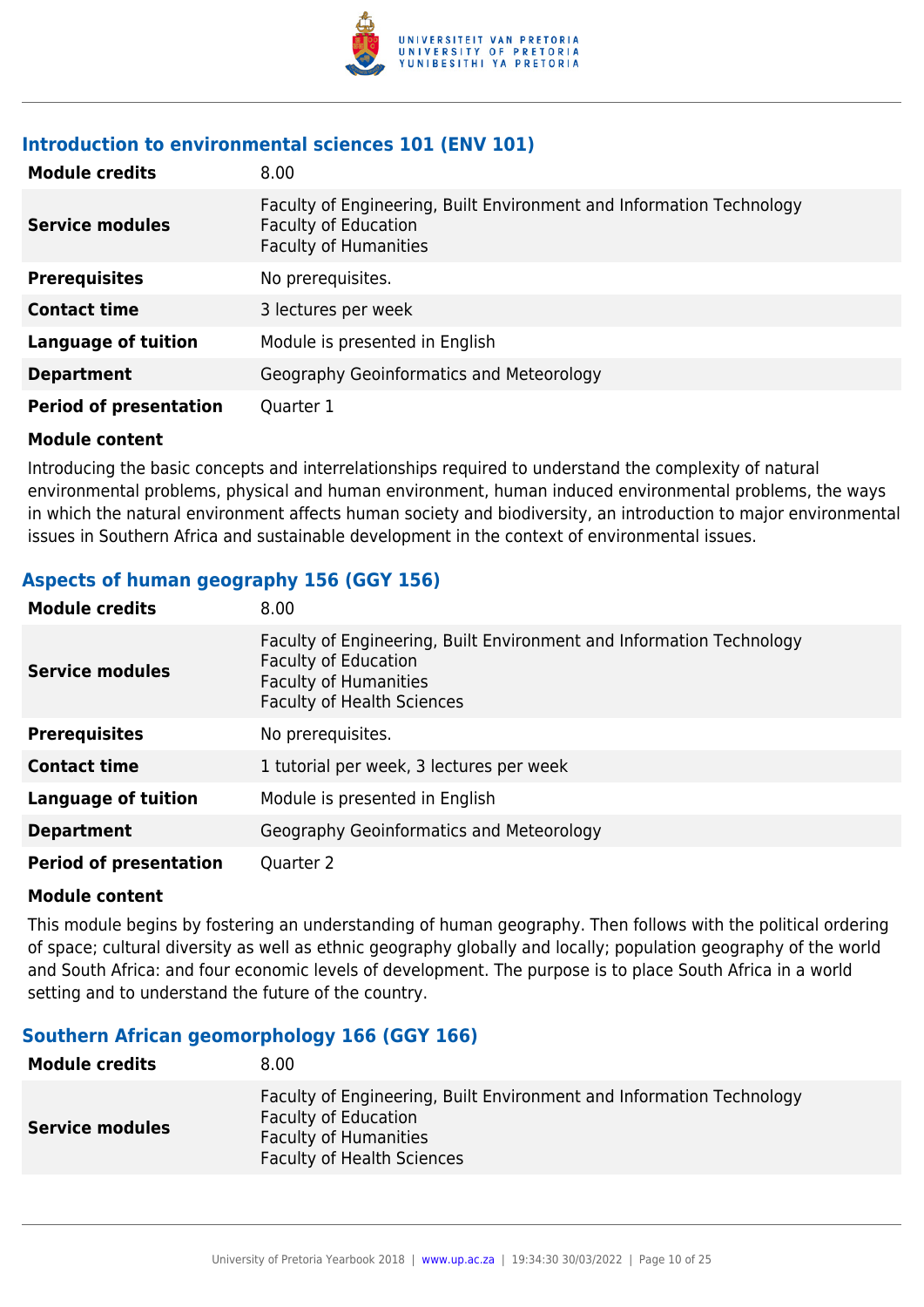

# **Introduction to environmental sciences 101 (ENV 101)**

| <b>Module credits</b>         | 8.00                                                                                                                                |
|-------------------------------|-------------------------------------------------------------------------------------------------------------------------------------|
| <b>Service modules</b>        | Faculty of Engineering, Built Environment and Information Technology<br><b>Faculty of Education</b><br><b>Faculty of Humanities</b> |
| <b>Prerequisites</b>          | No prerequisites.                                                                                                                   |
| <b>Contact time</b>           | 3 lectures per week                                                                                                                 |
| <b>Language of tuition</b>    | Module is presented in English                                                                                                      |
| <b>Department</b>             | Geography Geoinformatics and Meteorology                                                                                            |
| <b>Period of presentation</b> | Quarter 1                                                                                                                           |

#### **Module content**

Introducing the basic concepts and interrelationships required to understand the complexity of natural environmental problems, physical and human environment, human induced environmental problems, the ways in which the natural environment affects human society and biodiversity, an introduction to major environmental issues in Southern Africa and sustainable development in the context of environmental issues.

# **Aspects of human geography 156 (GGY 156)**

| <b>Module credits</b>         | 8.00                                                                                                                                                                     |
|-------------------------------|--------------------------------------------------------------------------------------------------------------------------------------------------------------------------|
| <b>Service modules</b>        | Faculty of Engineering, Built Environment and Information Technology<br><b>Faculty of Education</b><br><b>Faculty of Humanities</b><br><b>Faculty of Health Sciences</b> |
| <b>Prerequisites</b>          | No prerequisites.                                                                                                                                                        |
| <b>Contact time</b>           | 1 tutorial per week, 3 lectures per week                                                                                                                                 |
| <b>Language of tuition</b>    | Module is presented in English                                                                                                                                           |
| <b>Department</b>             | Geography Geoinformatics and Meteorology                                                                                                                                 |
| <b>Period of presentation</b> | Quarter 2                                                                                                                                                                |

# **Module content**

This module begins by fostering an understanding of human geography. Then follows with the political ordering of space; cultural diversity as well as ethnic geography globally and locally; population geography of the world and South Africa: and four economic levels of development. The purpose is to place South Africa in a world setting and to understand the future of the country.

# **Southern African geomorphology 166 (GGY 166)**

| <b>Module credits</b>  | 8.00                                                                                                                                                                     |
|------------------------|--------------------------------------------------------------------------------------------------------------------------------------------------------------------------|
| <b>Service modules</b> | Faculty of Engineering, Built Environment and Information Technology<br><b>Faculty of Education</b><br><b>Faculty of Humanities</b><br><b>Faculty of Health Sciences</b> |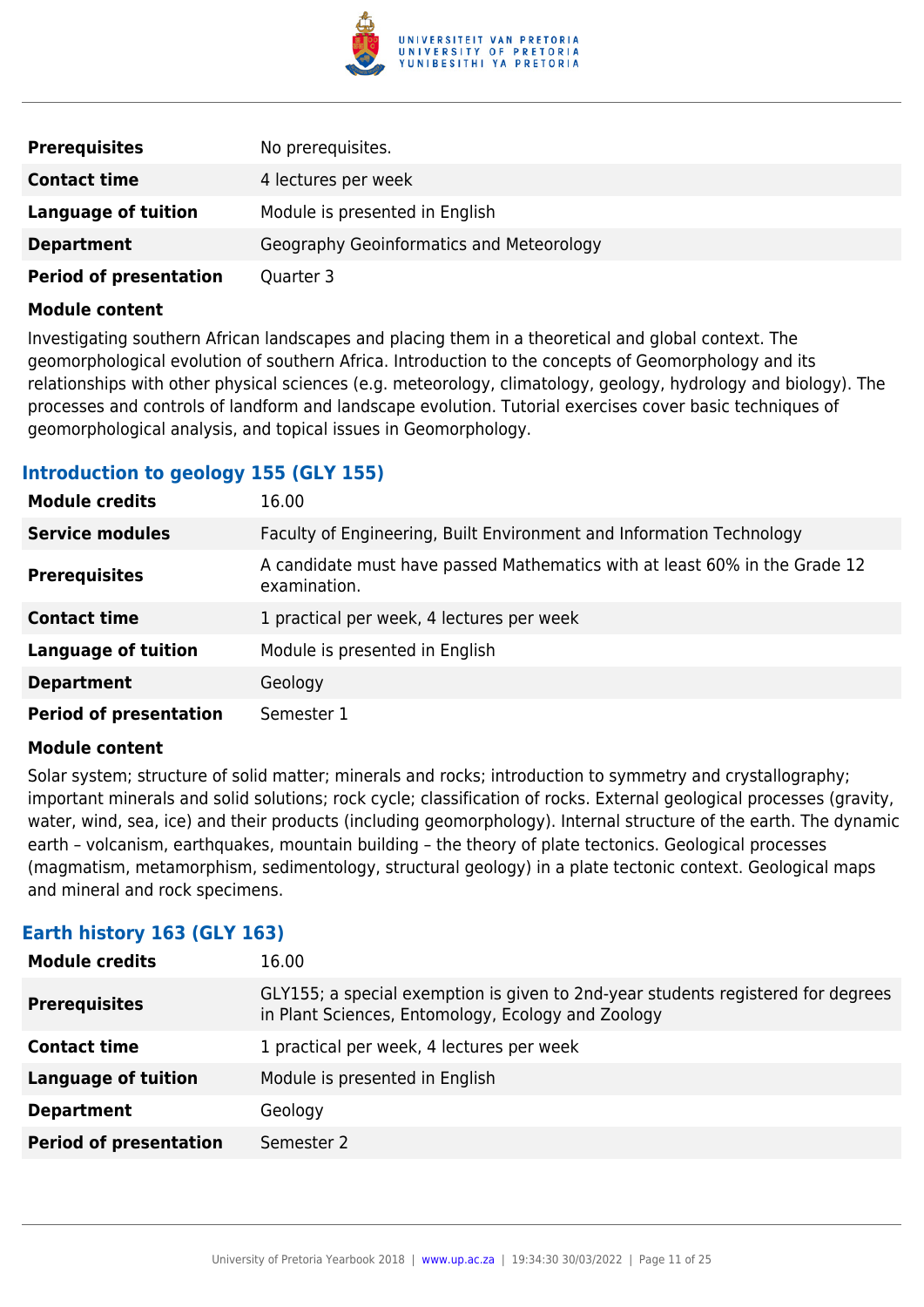

| <b>Prerequisites</b>          | No prerequisites.                        |
|-------------------------------|------------------------------------------|
| <b>Contact time</b>           | 4 lectures per week                      |
| Language of tuition           | Module is presented in English           |
| <b>Department</b>             | Geography Geoinformatics and Meteorology |
| <b>Period of presentation</b> | Quarter 3                                |

Investigating southern African landscapes and placing them in a theoretical and global context. The geomorphological evolution of southern Africa. Introduction to the concepts of Geomorphology and its relationships with other physical sciences (e.g. meteorology, climatology, geology, hydrology and biology). The processes and controls of landform and landscape evolution. Tutorial exercises cover basic techniques of geomorphological analysis, and topical issues in Geomorphology.

# **Introduction to geology 155 (GLY 155)**

| <b>Module credits</b>         | 16.00                                                                                      |
|-------------------------------|--------------------------------------------------------------------------------------------|
| <b>Service modules</b>        | Faculty of Engineering, Built Environment and Information Technology                       |
| <b>Prerequisites</b>          | A candidate must have passed Mathematics with at least 60% in the Grade 12<br>examination. |
| <b>Contact time</b>           | 1 practical per week, 4 lectures per week                                                  |
| <b>Language of tuition</b>    | Module is presented in English                                                             |
| <b>Department</b>             | Geology                                                                                    |
| <b>Period of presentation</b> | Semester 1                                                                                 |

#### **Module content**

Solar system; structure of solid matter; minerals and rocks; introduction to symmetry and crystallography; important minerals and solid solutions; rock cycle; classification of rocks. External geological processes (gravity, water, wind, sea, ice) and their products (including geomorphology). Internal structure of the earth. The dynamic earth – volcanism, earthquakes, mountain building – the theory of plate tectonics. Geological processes (magmatism, metamorphism, sedimentology, structural geology) in a plate tectonic context. Geological maps and mineral and rock specimens.

# **Earth history 163 (GLY 163)**

| <b>Module credits</b>         | 16.00                                                                                                                                  |
|-------------------------------|----------------------------------------------------------------------------------------------------------------------------------------|
| <b>Prerequisites</b>          | GLY155; a special exemption is given to 2nd-year students registered for degrees<br>in Plant Sciences, Entomology, Ecology and Zoology |
| <b>Contact time</b>           | 1 practical per week, 4 lectures per week                                                                                              |
| <b>Language of tuition</b>    | Module is presented in English                                                                                                         |
| <b>Department</b>             | Geology                                                                                                                                |
| <b>Period of presentation</b> | Semester 2                                                                                                                             |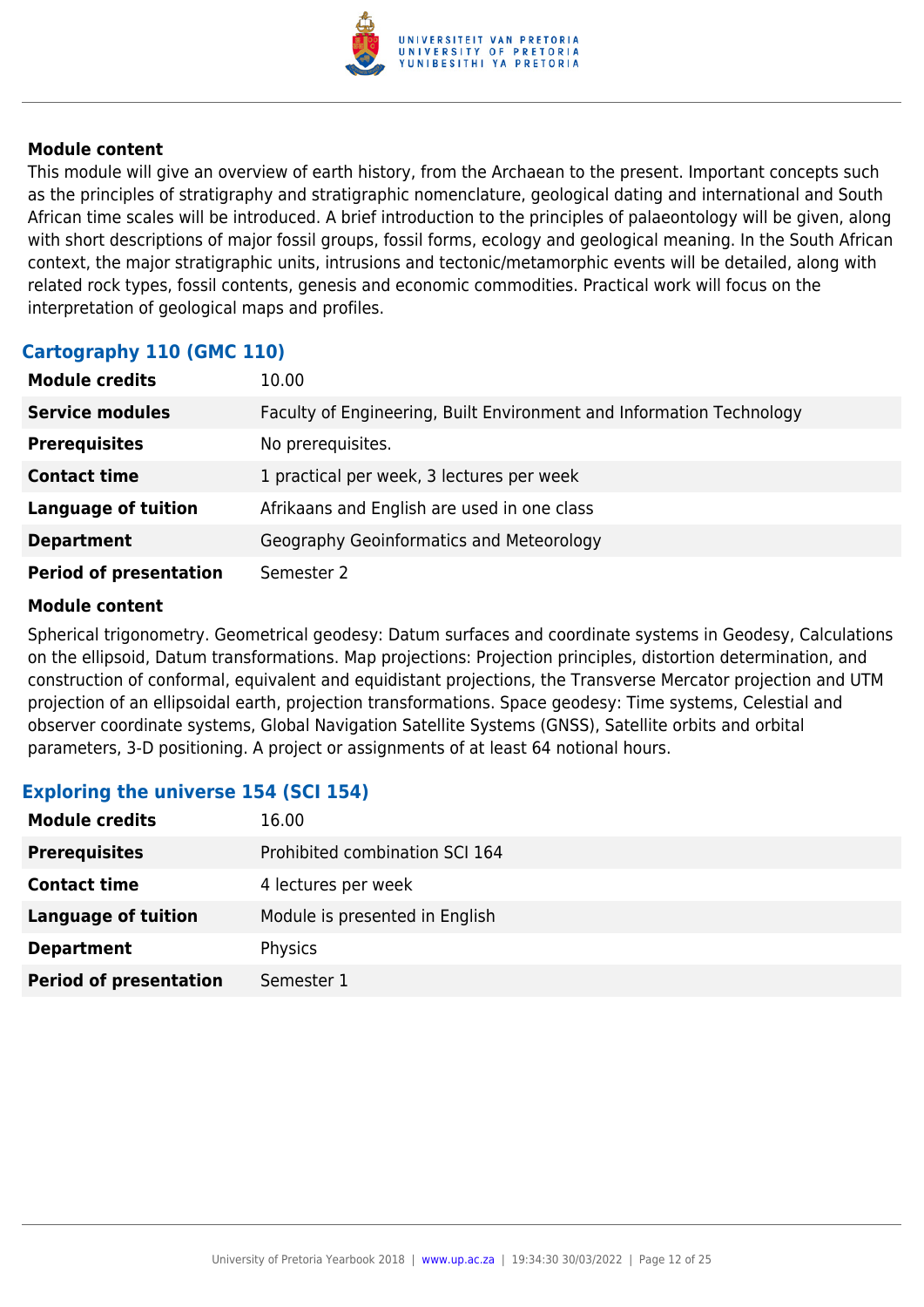

This module will give an overview of earth history, from the Archaean to the present. Important concepts such as the principles of stratigraphy and stratigraphic nomenclature, geological dating and international and South African time scales will be introduced. A brief introduction to the principles of palaeontology will be given, along with short descriptions of major fossil groups, fossil forms, ecology and geological meaning. In the South African context, the major stratigraphic units, intrusions and tectonic/metamorphic events will be detailed, along with related rock types, fossil contents, genesis and economic commodities. Practical work will focus on the interpretation of geological maps and profiles.

# **Cartography 110 (GMC 110)**

| <b>Module credits</b>         | 10.00                                                                |
|-------------------------------|----------------------------------------------------------------------|
| <b>Service modules</b>        | Faculty of Engineering, Built Environment and Information Technology |
| <b>Prerequisites</b>          | No prerequisites.                                                    |
| <b>Contact time</b>           | 1 practical per week, 3 lectures per week                            |
| <b>Language of tuition</b>    | Afrikaans and English are used in one class                          |
| <b>Department</b>             | Geography Geoinformatics and Meteorology                             |
| <b>Period of presentation</b> | Semester 2                                                           |

# **Module content**

Spherical trigonometry. Geometrical geodesy: Datum surfaces and coordinate systems in Geodesy, Calculations on the ellipsoid, Datum transformations. Map projections: Projection principles, distortion determination, and construction of conformal, equivalent and equidistant projections, the Transverse Mercator projection and UTM projection of an ellipsoidal earth, projection transformations. Space geodesy: Time systems, Celestial and observer coordinate systems, Global Navigation Satellite Systems (GNSS), Satellite orbits and orbital parameters, 3-D positioning. A project or assignments of at least 64 notional hours.

# **Exploring the universe 154 (SCI 154)**

| <b>Module credits</b>         | 16.00                          |
|-------------------------------|--------------------------------|
| <b>Prerequisites</b>          | Prohibited combination SCI 164 |
| <b>Contact time</b>           | 4 lectures per week            |
| <b>Language of tuition</b>    | Module is presented in English |
| <b>Department</b>             | Physics                        |
| <b>Period of presentation</b> | Semester 1                     |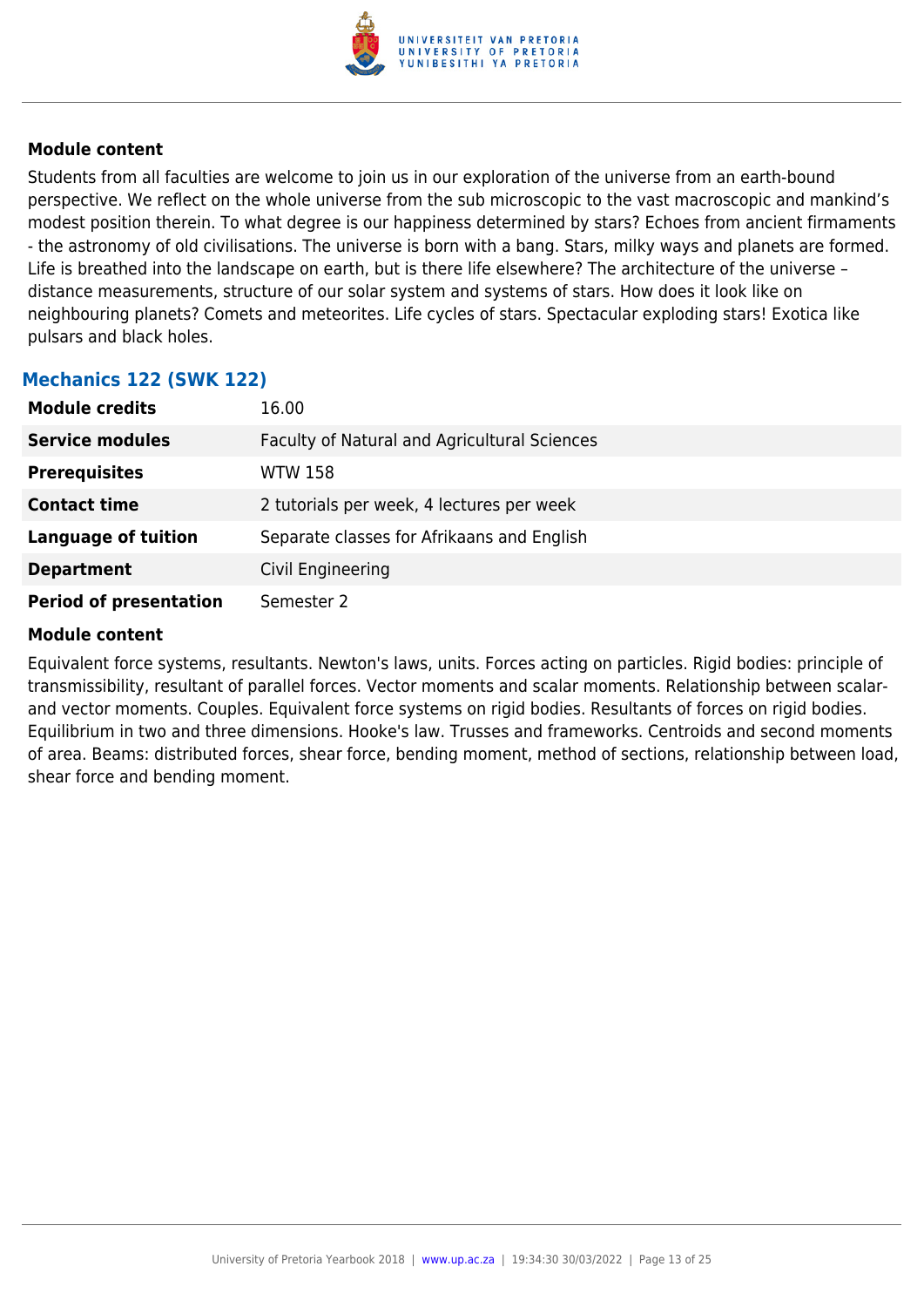

Students from all faculties are welcome to join us in our exploration of the universe from an earth-bound perspective. We reflect on the whole universe from the sub microscopic to the vast macroscopic and mankind's modest position therein. To what degree is our happiness determined by stars? Echoes from ancient firmaments - the astronomy of old civilisations. The universe is born with a bang. Stars, milky ways and planets are formed. Life is breathed into the landscape on earth, but is there life elsewhere? The architecture of the universe – distance measurements, structure of our solar system and systems of stars. How does it look like on neighbouring planets? Comets and meteorites. Life cycles of stars. Spectacular exploding stars! Exotica like pulsars and black holes.

| <b>Module credits</b>         | 16.00                                        |
|-------------------------------|----------------------------------------------|
| <b>Service modules</b>        | Faculty of Natural and Agricultural Sciences |
| <b>Prerequisites</b>          | <b>WTW 158</b>                               |
| <b>Contact time</b>           | 2 tutorials per week, 4 lectures per week    |
| <b>Language of tuition</b>    | Separate classes for Afrikaans and English   |
| <b>Department</b>             | Civil Engineering                            |
| <b>Period of presentation</b> | Semester 2                                   |

# **Mechanics 122 (SWK 122)**

#### **Module content**

Equivalent force systems, resultants. Newton's laws, units. Forces acting on particles. Rigid bodies: principle of transmissibility, resultant of parallel forces. Vector moments and scalar moments. Relationship between scalarand vector moments. Couples. Equivalent force systems on rigid bodies. Resultants of forces on rigid bodies. Equilibrium in two and three dimensions. Hooke's law. Trusses and frameworks. Centroids and second moments of area. Beams: distributed forces, shear force, bending moment, method of sections, relationship between load, shear force and bending moment.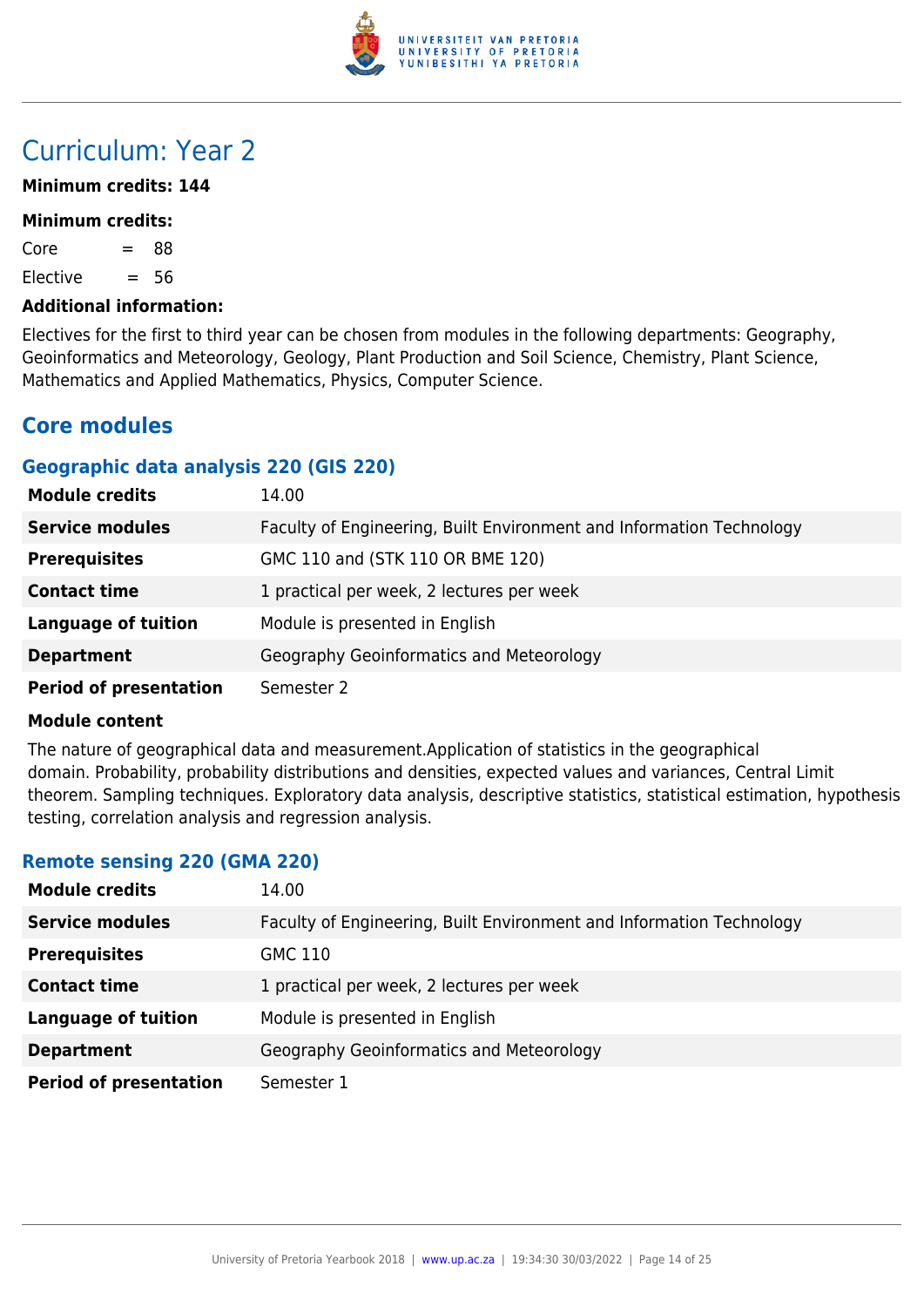

# Curriculum: Year 2

# **Minimum credits: 144**

#### **Minimum credits:**

 $Core = 88$ 

Elective  $= 56$ 

# **Additional information:**

Electives for the first to third year can be chosen from modules in the following departments: Geography, Geoinformatics and Meteorology, Geology, Plant Production and Soil Science, Chemistry, Plant Science, Mathematics and Applied Mathematics, Physics, Computer Science.

# **Core modules**

# **Geographic data analysis 220 (GIS 220)**

| <b>Module credits</b>         | 14.00                                                                |
|-------------------------------|----------------------------------------------------------------------|
| <b>Service modules</b>        | Faculty of Engineering, Built Environment and Information Technology |
| <b>Prerequisites</b>          | GMC 110 and (STK 110 OR BME 120)                                     |
| <b>Contact time</b>           | 1 practical per week, 2 lectures per week                            |
| <b>Language of tuition</b>    | Module is presented in English                                       |
| <b>Department</b>             | Geography Geoinformatics and Meteorology                             |
| <b>Period of presentation</b> | Semester 2                                                           |

#### **Module content**

The nature of geographical data and measurement.Application of statistics in the geographical domain. Probability, probability distributions and densities, expected values and variances, Central Limit theorem. Sampling techniques. Exploratory data analysis, descriptive statistics, statistical estimation, hypothesis testing, correlation analysis and regression analysis.

# **Remote sensing 220 (GMA 220)**

| <b>Module credits</b>         | 14.00                                                                |
|-------------------------------|----------------------------------------------------------------------|
| <b>Service modules</b>        | Faculty of Engineering, Built Environment and Information Technology |
| <b>Prerequisites</b>          | GMC 110                                                              |
| <b>Contact time</b>           | 1 practical per week, 2 lectures per week                            |
| <b>Language of tuition</b>    | Module is presented in English                                       |
| <b>Department</b>             | Geography Geoinformatics and Meteorology                             |
| <b>Period of presentation</b> | Semester 1                                                           |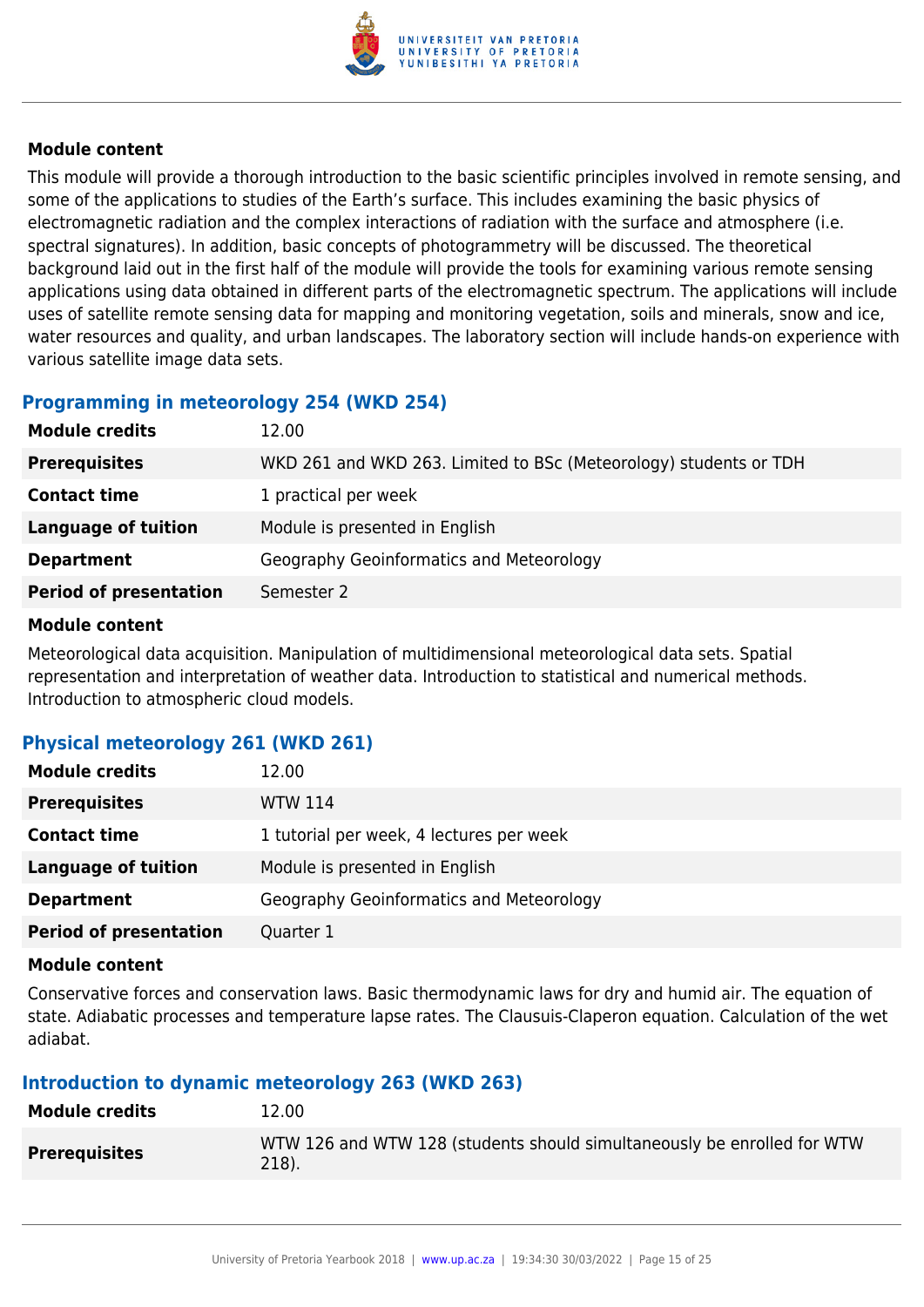

This module will provide a thorough introduction to the basic scientific principles involved in remote sensing, and some of the applications to studies of the Earth's surface. This includes examining the basic physics of electromagnetic radiation and the complex interactions of radiation with the surface and atmosphere (i.e. spectral signatures). In addition, basic concepts of photogrammetry will be discussed. The theoretical background laid out in the first half of the module will provide the tools for examining various remote sensing applications using data obtained in different parts of the electromagnetic spectrum. The applications will include uses of satellite remote sensing data for mapping and monitoring vegetation, soils and minerals, snow and ice, water resources and quality, and urban landscapes. The laboratory section will include hands-on experience with various satellite image data sets.

# **Programming in meteorology 254 (WKD 254)**

| <b>Module credits</b>         | 12.00                                                             |
|-------------------------------|-------------------------------------------------------------------|
| <b>Prerequisites</b>          | WKD 261 and WKD 263. Limited to BSc (Meteorology) students or TDH |
| <b>Contact time</b>           | 1 practical per week                                              |
| <b>Language of tuition</b>    | Module is presented in English                                    |
| <b>Department</b>             | Geography Geoinformatics and Meteorology                          |
| <b>Period of presentation</b> | Semester 2                                                        |

# **Module content**

Meteorological data acquisition. Manipulation of multidimensional meteorological data sets. Spatial representation and interpretation of weather data. Introduction to statistical and numerical methods. Introduction to atmospheric cloud models.

# **Physical meteorology 261 (WKD 261)**

| <b>Module credits</b>         | 12.00                                    |
|-------------------------------|------------------------------------------|
| <b>Prerequisites</b>          | <b>WTW 114</b>                           |
| <b>Contact time</b>           | 1 tutorial per week, 4 lectures per week |
| Language of tuition           | Module is presented in English           |
| <b>Department</b>             | Geography Geoinformatics and Meteorology |
| <b>Period of presentation</b> | Quarter 1                                |

# **Module content**

Conservative forces and conservation laws. Basic thermodynamic laws for dry and humid air. The equation of state. Adiabatic processes and temperature lapse rates. The Clausuis-Claperon equation. Calculation of the wet adiabat.

# **Introduction to dynamic meteorology 263 (WKD 263)**

| <b>Module credits</b> | 12.00                                                                            |
|-----------------------|----------------------------------------------------------------------------------|
| <b>Prerequisites</b>  | WTW 126 and WTW 128 (students should simultaneously be enrolled for WTW<br>218). |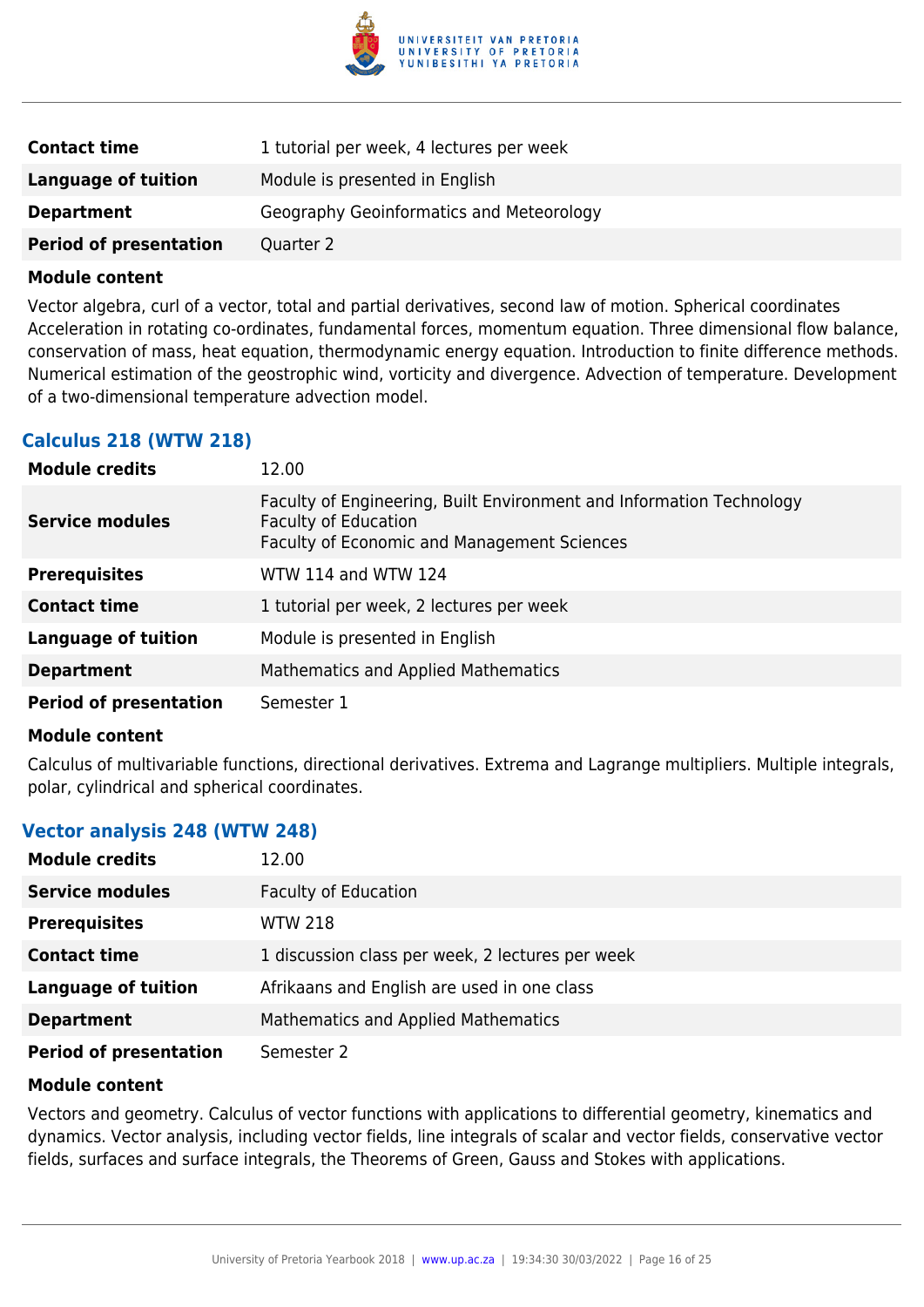

| <b>Contact time</b>           | 1 tutorial per week, 4 lectures per week |
|-------------------------------|------------------------------------------|
| Language of tuition           | Module is presented in English           |
| <b>Department</b>             | Geography Geoinformatics and Meteorology |
| <b>Period of presentation</b> | Quarter 2                                |

Vector algebra, curl of a vector, total and partial derivatives, second law of motion. Spherical coordinates Acceleration in rotating co-ordinates, fundamental forces, momentum equation. Three dimensional flow balance, conservation of mass, heat equation, thermodynamic energy equation. Introduction to finite difference methods. Numerical estimation of the geostrophic wind, vorticity and divergence. Advection of temperature. Development of a two-dimensional temperature advection model.

# **Calculus 218 (WTW 218)**

| <b>Module credits</b>         | 12.00                                                                                                                                                     |
|-------------------------------|-----------------------------------------------------------------------------------------------------------------------------------------------------------|
| <b>Service modules</b>        | Faculty of Engineering, Built Environment and Information Technology<br><b>Faculty of Education</b><br><b>Faculty of Economic and Management Sciences</b> |
| <b>Prerequisites</b>          | WTW 114 and WTW 124                                                                                                                                       |
| <b>Contact time</b>           | 1 tutorial per week, 2 lectures per week                                                                                                                  |
| <b>Language of tuition</b>    | Module is presented in English                                                                                                                            |
| <b>Department</b>             | <b>Mathematics and Applied Mathematics</b>                                                                                                                |
| <b>Period of presentation</b> | Semester 1                                                                                                                                                |

#### **Module content**

Calculus of multivariable functions, directional derivatives. Extrema and Lagrange multipliers. Multiple integrals, polar, cylindrical and spherical coordinates.

# **Vector analysis 248 (WTW 248)**

| <b>Module credits</b>         | 12.00                                            |
|-------------------------------|--------------------------------------------------|
| <b>Service modules</b>        | <b>Faculty of Education</b>                      |
| <b>Prerequisites</b>          | <b>WTW 218</b>                                   |
| <b>Contact time</b>           | 1 discussion class per week, 2 lectures per week |
| <b>Language of tuition</b>    | Afrikaans and English are used in one class      |
| <b>Department</b>             | Mathematics and Applied Mathematics              |
| <b>Period of presentation</b> | Semester 2                                       |

#### **Module content**

Vectors and geometry. Calculus of vector functions with applications to differential geometry, kinematics and dynamics. Vector analysis, including vector fields, line integrals of scalar and vector fields, conservative vector fields, surfaces and surface integrals, the Theorems of Green, Gauss and Stokes with applications.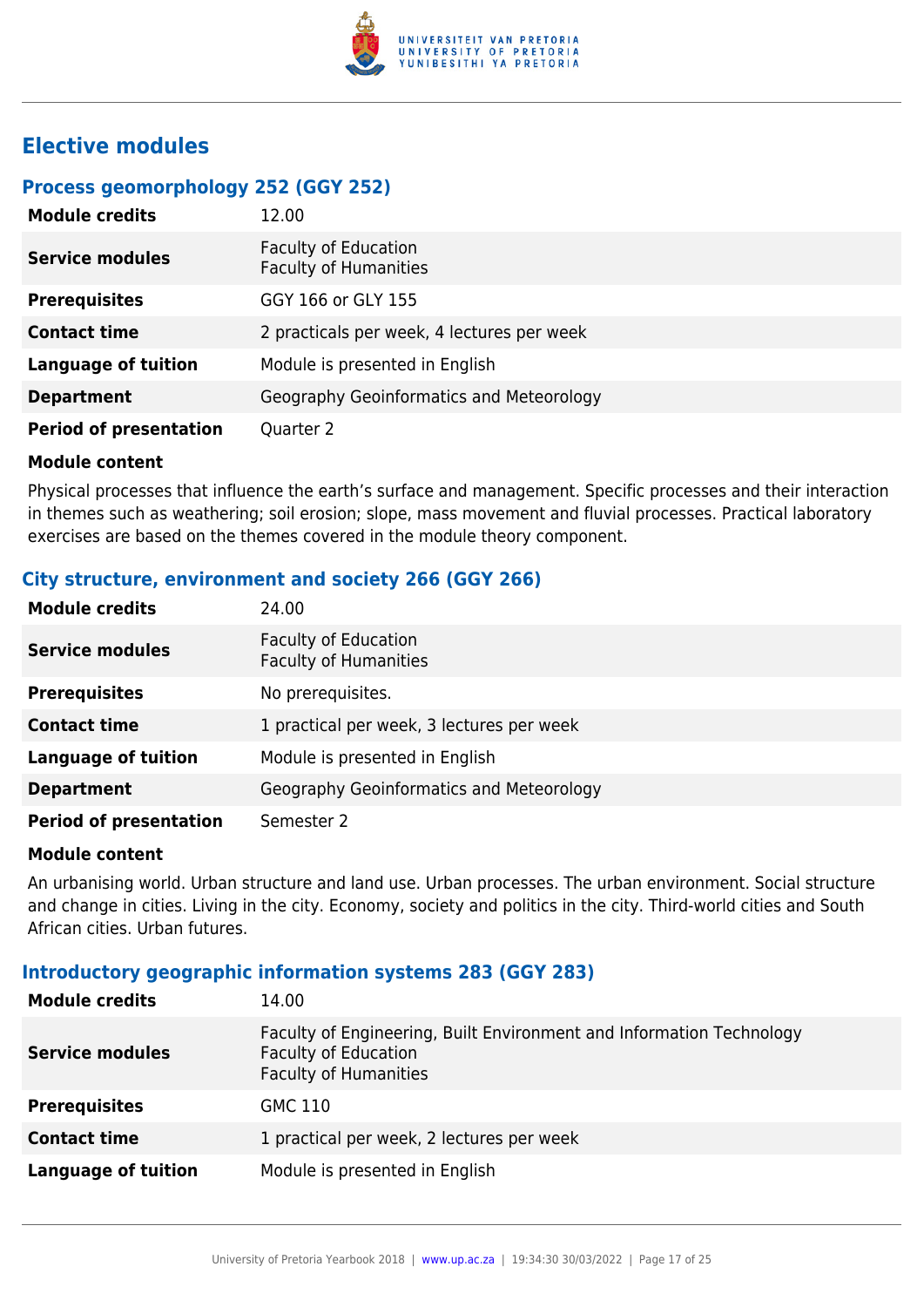

# **Elective modules**

# **Process geomorphology 252 (GGY 252)**

| <b>Module credits</b>         | 12.00                                                       |
|-------------------------------|-------------------------------------------------------------|
| <b>Service modules</b>        | <b>Faculty of Education</b><br><b>Faculty of Humanities</b> |
| <b>Prerequisites</b>          | GGY 166 or GLY 155                                          |
| <b>Contact time</b>           | 2 practicals per week, 4 lectures per week                  |
| <b>Language of tuition</b>    | Module is presented in English                              |
| <b>Department</b>             | Geography Geoinformatics and Meteorology                    |
| <b>Period of presentation</b> | Quarter 2                                                   |

#### **Module content**

Physical processes that influence the earth's surface and management. Specific processes and their interaction in themes such as weathering; soil erosion; slope, mass movement and fluvial processes. Practical laboratory exercises are based on the themes covered in the module theory component.

# **City structure, environment and society 266 (GGY 266)**

| <b>Module credits</b>         | 24.00                                                       |
|-------------------------------|-------------------------------------------------------------|
| <b>Service modules</b>        | <b>Faculty of Education</b><br><b>Faculty of Humanities</b> |
| <b>Prerequisites</b>          | No prerequisites.                                           |
| <b>Contact time</b>           | 1 practical per week, 3 lectures per week                   |
| <b>Language of tuition</b>    | Module is presented in English                              |
| <b>Department</b>             | Geography Geoinformatics and Meteorology                    |
| <b>Period of presentation</b> | Semester 2                                                  |

#### **Module content**

An urbanising world. Urban structure and land use. Urban processes. The urban environment. Social structure and change in cities. Living in the city. Economy, society and politics in the city. Third-world cities and South African cities. Urban futures.

# **Introductory geographic information systems 283 (GGY 283)**

| <b>Module credits</b>  | 14.00                                                                                                                               |
|------------------------|-------------------------------------------------------------------------------------------------------------------------------------|
| <b>Service modules</b> | Faculty of Engineering, Built Environment and Information Technology<br><b>Faculty of Education</b><br><b>Faculty of Humanities</b> |
| <b>Prerequisites</b>   | GMC 110                                                                                                                             |
| <b>Contact time</b>    | 1 practical per week, 2 lectures per week                                                                                           |
| Language of tuition    | Module is presented in English                                                                                                      |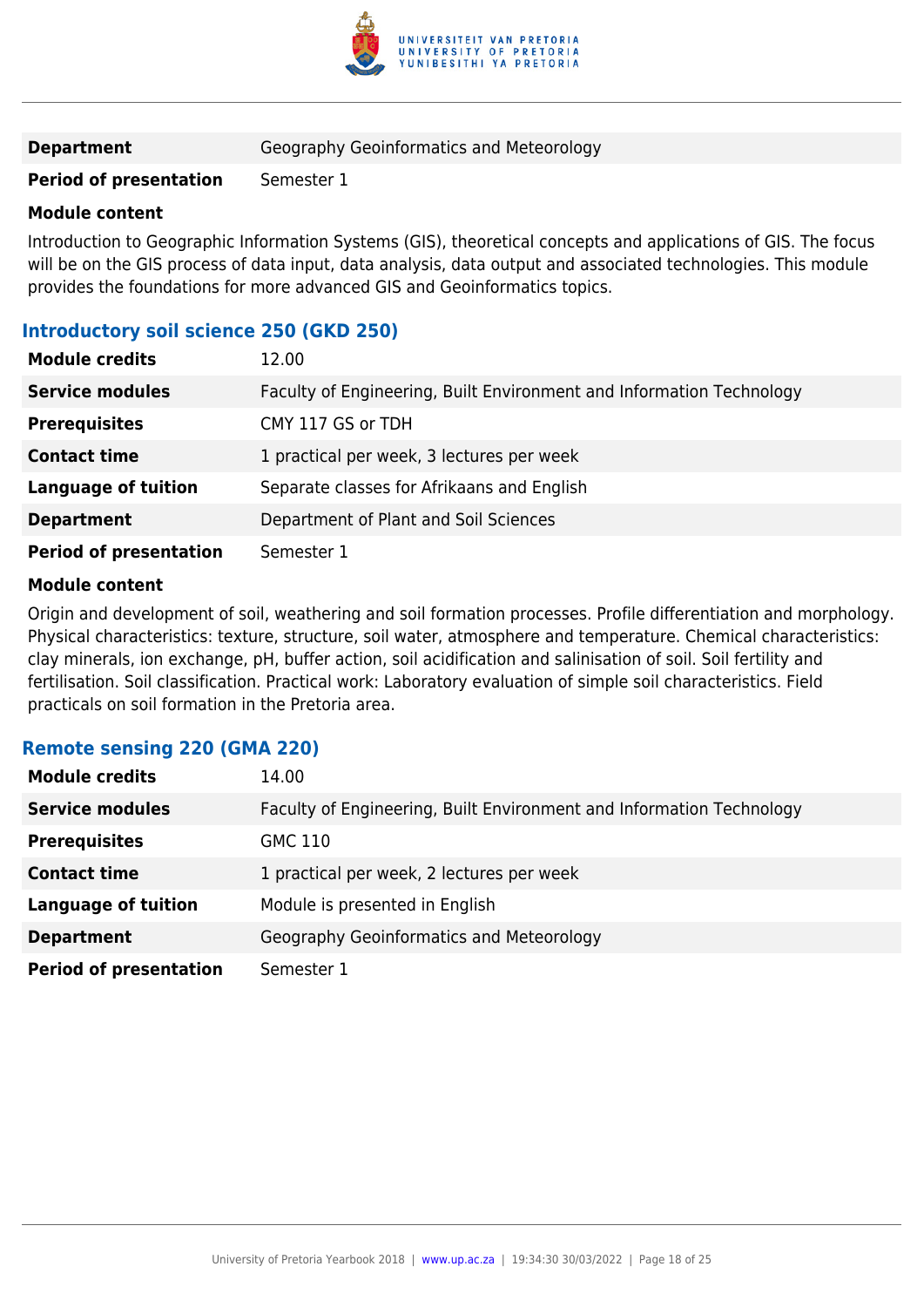

| <b>Department</b> | Geography Geoinformatics and Meteorology |
|-------------------|------------------------------------------|
|-------------------|------------------------------------------|

# **Period of presentation** Semester 1

#### **Module content**

Introduction to Geographic Information Systems (GIS), theoretical concepts and applications of GIS. The focus will be on the GIS process of data input, data analysis, data output and associated technologies. This module provides the foundations for more advanced GIS and Geoinformatics topics.

# **Introductory soil science 250 (GKD 250)**

| <b>Module credits</b>         | 12.00                                                                |
|-------------------------------|----------------------------------------------------------------------|
| <b>Service modules</b>        | Faculty of Engineering, Built Environment and Information Technology |
| <b>Prerequisites</b>          | CMY 117 GS or TDH                                                    |
| <b>Contact time</b>           | 1 practical per week, 3 lectures per week                            |
| <b>Language of tuition</b>    | Separate classes for Afrikaans and English                           |
| <b>Department</b>             | Department of Plant and Soil Sciences                                |
| <b>Period of presentation</b> | Semester 1                                                           |

#### **Module content**

Origin and development of soil, weathering and soil formation processes. Profile differentiation and morphology. Physical characteristics: texture, structure, soil water, atmosphere and temperature. Chemical characteristics: clay minerals, ion exchange, pH, buffer action, soil acidification and salinisation of soil. Soil fertility and fertilisation. Soil classification. Practical work: Laboratory evaluation of simple soil characteristics. Field practicals on soil formation in the Pretoria area.

| Remote Sensing ZZU (GMA ZZU)  |                                                                      |
|-------------------------------|----------------------------------------------------------------------|
| <b>Module credits</b>         | 14.00                                                                |
| <b>Service modules</b>        | Faculty of Engineering, Built Environment and Information Technology |
| <b>Prerequisites</b>          | <b>GMC 110</b>                                                       |
| <b>Contact time</b>           | 1 practical per week, 2 lectures per week                            |
| <b>Language of tuition</b>    | Module is presented in English                                       |
| <b>Department</b>             | Geography Geoinformatics and Meteorology                             |
| <b>Period of presentation</b> | Semester 1                                                           |

# **Remote sensing 220 (GMA 220)**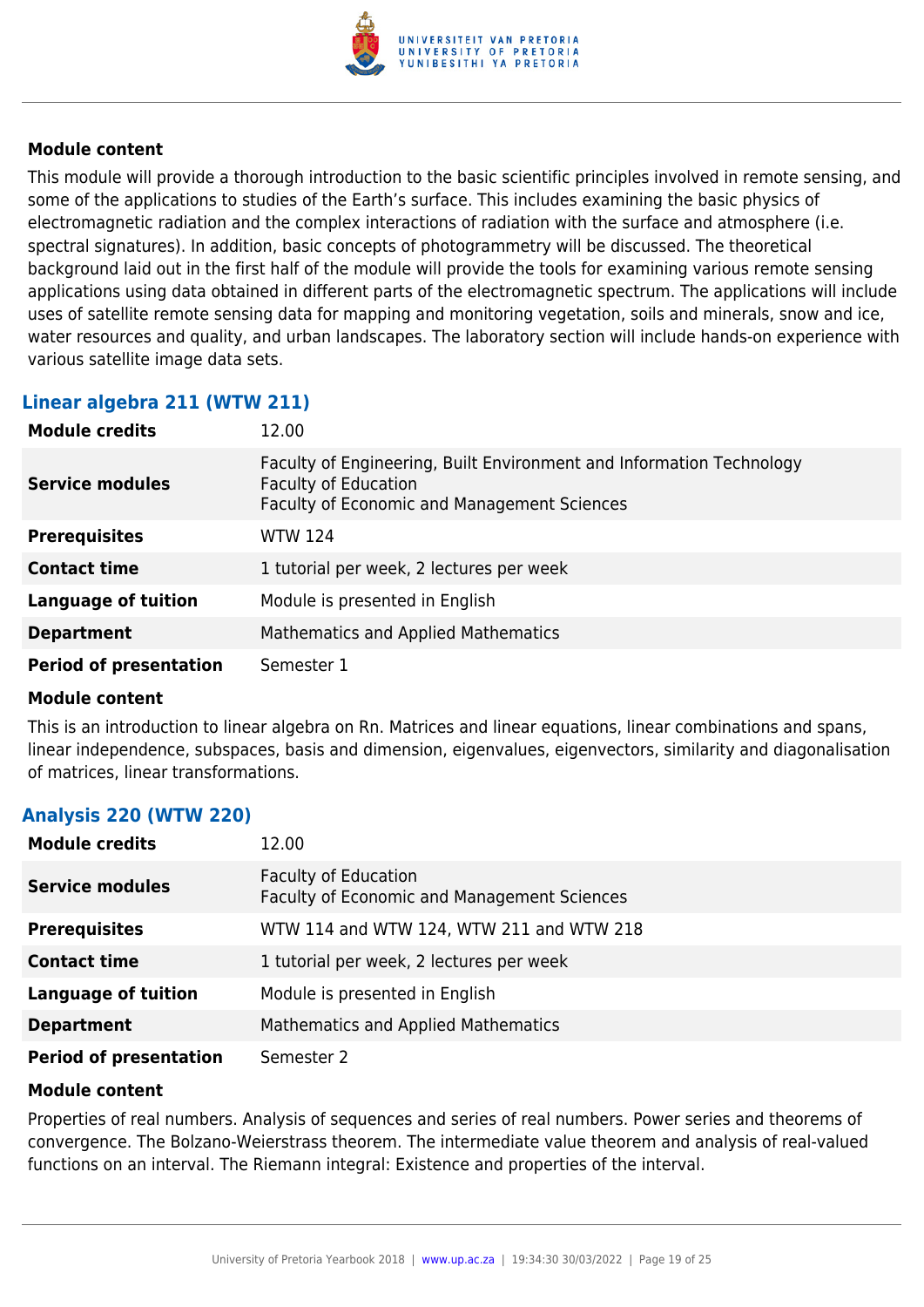

This module will provide a thorough introduction to the basic scientific principles involved in remote sensing, and some of the applications to studies of the Earth's surface. This includes examining the basic physics of electromagnetic radiation and the complex interactions of radiation with the surface and atmosphere (i.e. spectral signatures). In addition, basic concepts of photogrammetry will be discussed. The theoretical background laid out in the first half of the module will provide the tools for examining various remote sensing applications using data obtained in different parts of the electromagnetic spectrum. The applications will include uses of satellite remote sensing data for mapping and monitoring vegetation, soils and minerals, snow and ice, water resources and quality, and urban landscapes. The laboratory section will include hands-on experience with various satellite image data sets.

# **Linear algebra 211 (WTW 211)**

| <b>Module credits</b>         | 12.00                                                                                                                                                     |
|-------------------------------|-----------------------------------------------------------------------------------------------------------------------------------------------------------|
| <b>Service modules</b>        | Faculty of Engineering, Built Environment and Information Technology<br><b>Faculty of Education</b><br><b>Faculty of Economic and Management Sciences</b> |
| <b>Prerequisites</b>          | <b>WTW 124</b>                                                                                                                                            |
| <b>Contact time</b>           | 1 tutorial per week, 2 lectures per week                                                                                                                  |
| <b>Language of tuition</b>    | Module is presented in English                                                                                                                            |
| <b>Department</b>             | Mathematics and Applied Mathematics                                                                                                                       |
| <b>Period of presentation</b> | Semester 1                                                                                                                                                |

# **Module content**

This is an introduction to linear algebra on Rn. Matrices and linear equations, linear combinations and spans, linear independence, subspaces, basis and dimension, eigenvalues, eigenvectors, similarity and diagonalisation of matrices, linear transformations.

# **Analysis 220 (WTW 220)**

| <b>Module credits</b>         | 12.00                                                                      |
|-------------------------------|----------------------------------------------------------------------------|
| <b>Service modules</b>        | <b>Faculty of Education</b><br>Faculty of Economic and Management Sciences |
| <b>Prerequisites</b>          | WTW 114 and WTW 124, WTW 211 and WTW 218                                   |
| <b>Contact time</b>           | 1 tutorial per week, 2 lectures per week                                   |
| <b>Language of tuition</b>    | Module is presented in English                                             |
| <b>Department</b>             | <b>Mathematics and Applied Mathematics</b>                                 |
| <b>Period of presentation</b> | Semester 2                                                                 |

# **Module content**

Properties of real numbers. Analysis of sequences and series of real numbers. Power series and theorems of convergence. The Bolzano-Weierstrass theorem. The intermediate value theorem and analysis of real-valued functions on an interval. The Riemann integral: Existence and properties of the interval.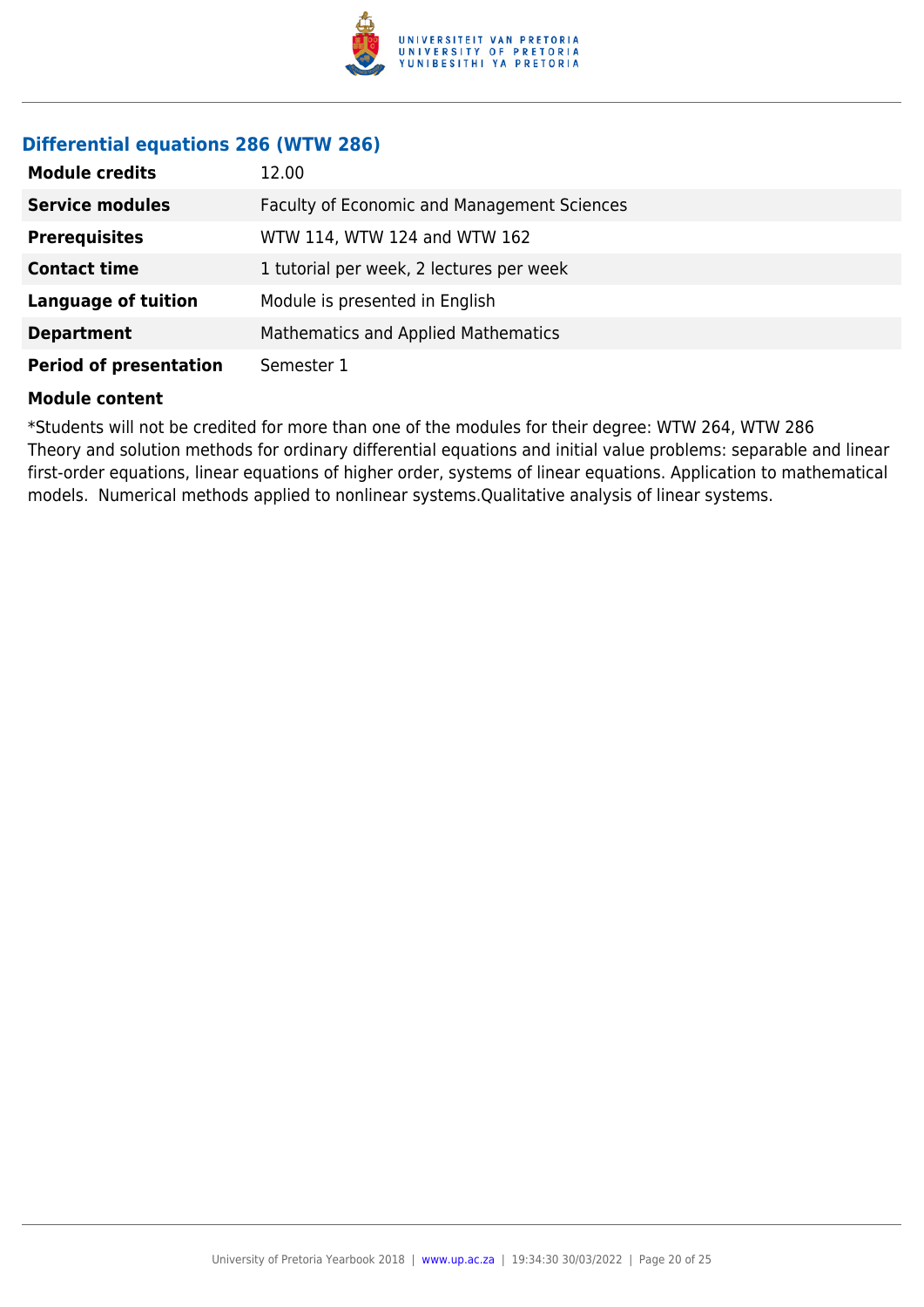

# **Differential equations 286 (WTW 286)**

| <b>Module credits</b>         | 12.00                                       |
|-------------------------------|---------------------------------------------|
| <b>Service modules</b>        | Faculty of Economic and Management Sciences |
| <b>Prerequisites</b>          | WTW 114, WTW 124 and WTW 162                |
| <b>Contact time</b>           | 1 tutorial per week, 2 lectures per week    |
| <b>Language of tuition</b>    | Module is presented in English              |
| <b>Department</b>             | Mathematics and Applied Mathematics         |
| <b>Period of presentation</b> | Semester 1                                  |

#### **Module content**

\*Students will not be credited for more than one of the modules for their degree: WTW 264, WTW 286 Theory and solution methods for ordinary differential equations and initial value problems: separable and linear first-order equations, linear equations of higher order, systems of linear equations. Application to mathematical models. Numerical methods applied to nonlinear systems.Qualitative analysis of linear systems.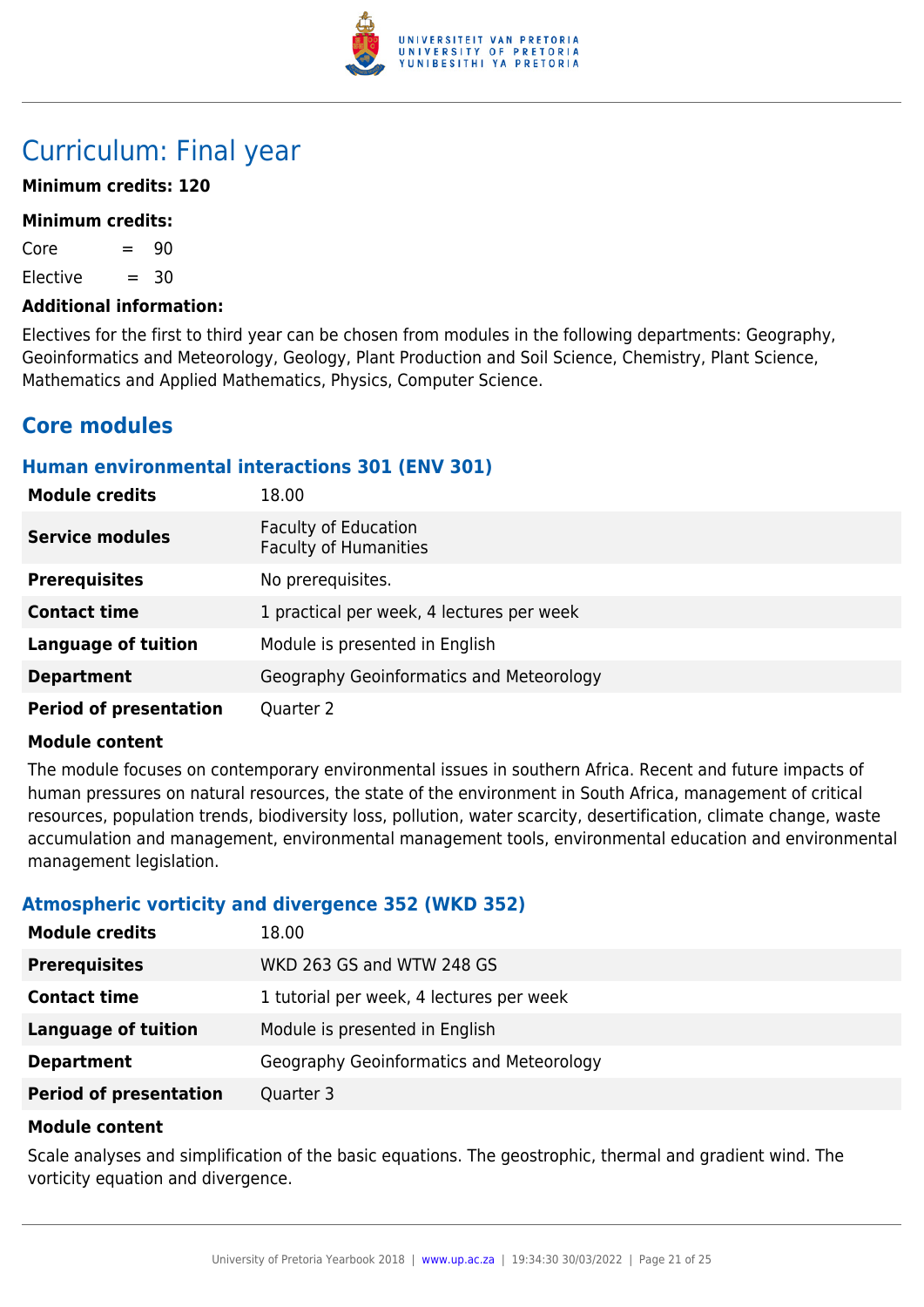

# Curriculum: Final year

# **Minimum credits: 120**

#### **Minimum credits:**

 $Core = 90$ 

 $E$ lective  $= 30$ 

#### **Additional information:**

Electives for the first to third year can be chosen from modules in the following departments: Geography, Geoinformatics and Meteorology, Geology, Plant Production and Soil Science, Chemistry, Plant Science, Mathematics and Applied Mathematics, Physics, Computer Science.

# **Core modules**

# **Human environmental interactions 301 (ENV 301)**

| <b>Module credits</b>         | 18.00                                                       |
|-------------------------------|-------------------------------------------------------------|
| <b>Service modules</b>        | <b>Faculty of Education</b><br><b>Faculty of Humanities</b> |
| <b>Prerequisites</b>          | No prerequisites.                                           |
| <b>Contact time</b>           | 1 practical per week, 4 lectures per week                   |
| <b>Language of tuition</b>    | Module is presented in English                              |
| <b>Department</b>             | Geography Geoinformatics and Meteorology                    |
| <b>Period of presentation</b> | Quarter 2                                                   |

#### **Module content**

The module focuses on contemporary environmental issues in southern Africa. Recent and future impacts of human pressures on natural resources, the state of the environment in South Africa, management of critical resources, population trends, biodiversity loss, pollution, water scarcity, desertification, climate change, waste accumulation and management, environmental management tools, environmental education and environmental management legislation.

# **Atmospheric vorticity and divergence 352 (WKD 352)**

| <b>Module credits</b>         | 18.00                                    |
|-------------------------------|------------------------------------------|
| <b>Prerequisites</b>          | WKD 263 GS and WTW 248 GS                |
| <b>Contact time</b>           | 1 tutorial per week, 4 lectures per week |
| <b>Language of tuition</b>    | Module is presented in English           |
| <b>Department</b>             | Geography Geoinformatics and Meteorology |
| <b>Period of presentation</b> | Quarter 3                                |

#### **Module content**

Scale analyses and simplification of the basic equations. The geostrophic, thermal and gradient wind. The vorticity equation and divergence.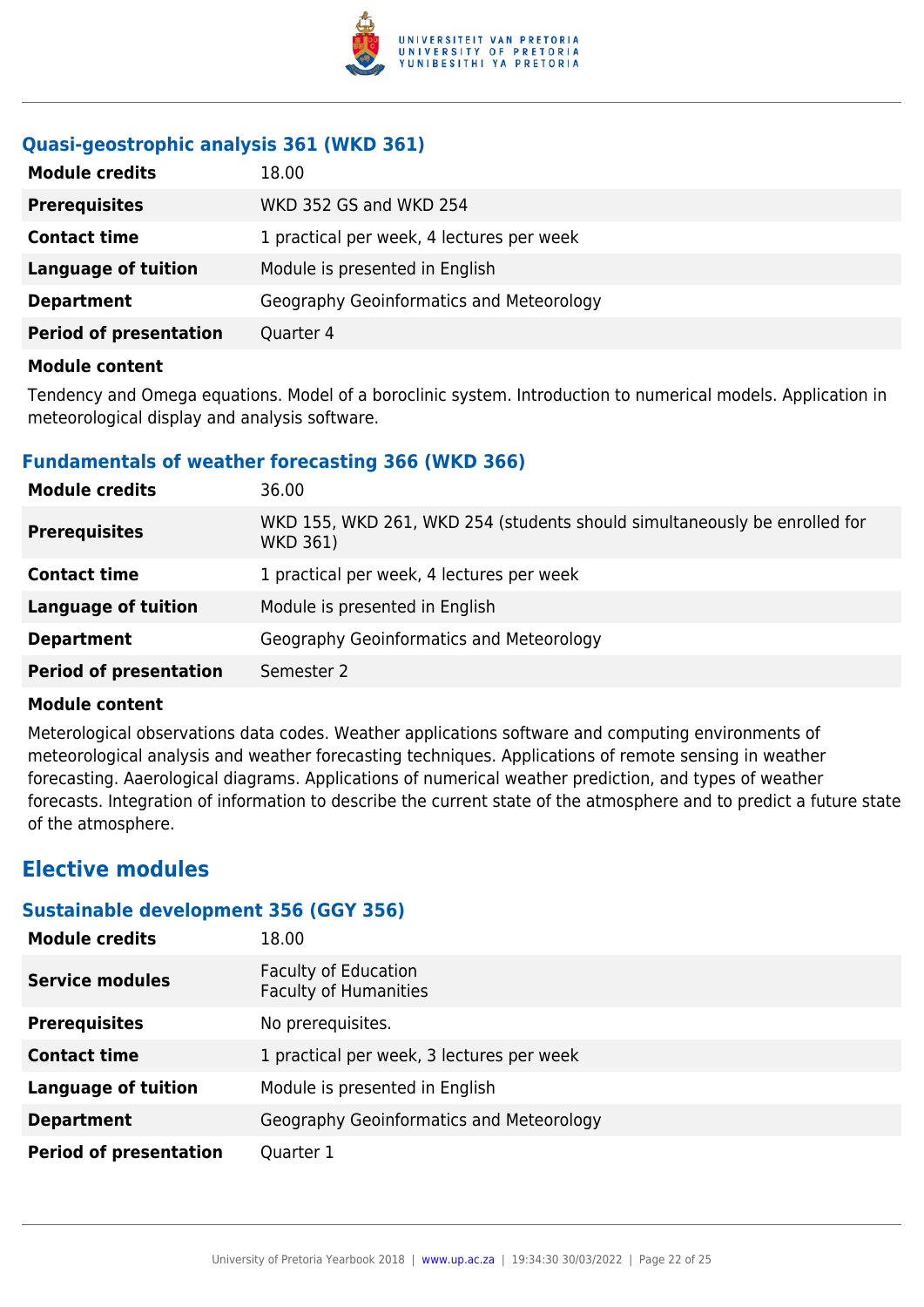

# **Quasi-geostrophic analysis 361 (WKD 361)**

| <b>Module credits</b>         | 18.00                                     |
|-------------------------------|-------------------------------------------|
| <b>Prerequisites</b>          | WKD 352 GS and WKD 254                    |
| <b>Contact time</b>           | 1 practical per week, 4 lectures per week |
| <b>Language of tuition</b>    | Module is presented in English            |
| <b>Department</b>             | Geography Geoinformatics and Meteorology  |
| <b>Period of presentation</b> | Quarter 4                                 |

#### **Module content**

Tendency and Omega equations. Model of a boroclinic system. Introduction to numerical models. Application in meteorological display and analysis software.

# **Fundamentals of weather forecasting 366 (WKD 366)**

| <b>Module credits</b>         | 36.00                                                                                        |
|-------------------------------|----------------------------------------------------------------------------------------------|
| <b>Prerequisites</b>          | WKD 155, WKD 261, WKD 254 (students should simultaneously be enrolled for<br><b>WKD 361)</b> |
| <b>Contact time</b>           | 1 practical per week, 4 lectures per week                                                    |
| <b>Language of tuition</b>    | Module is presented in English                                                               |
| <b>Department</b>             | Geography Geoinformatics and Meteorology                                                     |
| <b>Period of presentation</b> | Semester 2                                                                                   |

# **Module content**

Meterological observations data codes. Weather applications software and computing environments of meteorological analysis and weather forecasting techniques. Applications of remote sensing in weather forecasting. Aaerological diagrams. Applications of numerical weather prediction, and types of weather forecasts. Integration of information to describe the current state of the atmosphere and to predict a future state of the atmosphere.

# **Elective modules**

# **Sustainable development 356 (GGY 356)**

| <b>Module credits</b>         | 18.00                                                       |
|-------------------------------|-------------------------------------------------------------|
| <b>Service modules</b>        | <b>Faculty of Education</b><br><b>Faculty of Humanities</b> |
| <b>Prerequisites</b>          | No prerequisites.                                           |
| <b>Contact time</b>           | 1 practical per week, 3 lectures per week                   |
| <b>Language of tuition</b>    | Module is presented in English                              |
| <b>Department</b>             | Geography Geoinformatics and Meteorology                    |
| <b>Period of presentation</b> | Quarter 1                                                   |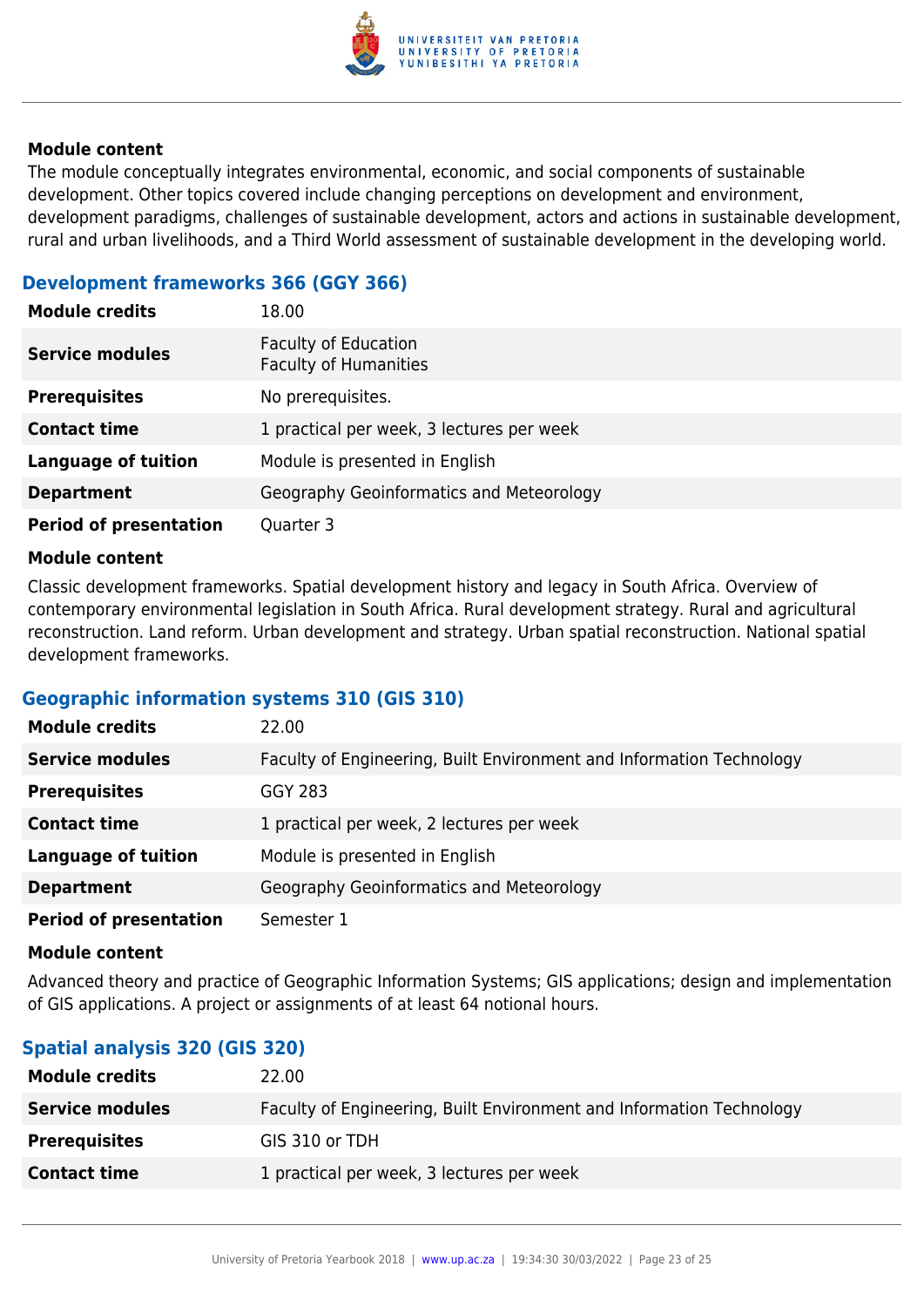

The module conceptually integrates environmental, economic, and social components of sustainable development. Other topics covered include changing perceptions on development and environment, development paradigms, challenges of sustainable development, actors and actions in sustainable development, rural and urban livelihoods, and a Third World assessment of sustainable development in the developing world.

# **Development frameworks 366 (GGY 366)**

| <b>Module credits</b>         | 18.00                                                       |
|-------------------------------|-------------------------------------------------------------|
| <b>Service modules</b>        | <b>Faculty of Education</b><br><b>Faculty of Humanities</b> |
| <b>Prerequisites</b>          | No prerequisites.                                           |
| <b>Contact time</b>           | 1 practical per week, 3 lectures per week                   |
| <b>Language of tuition</b>    | Module is presented in English                              |
| <b>Department</b>             | Geography Geoinformatics and Meteorology                    |
| <b>Period of presentation</b> | Quarter 3                                                   |

#### **Module content**

Classic development frameworks. Spatial development history and legacy in South Africa. Overview of contemporary environmental legislation in South Africa. Rural development strategy. Rural and agricultural reconstruction. Land reform. Urban development and strategy. Urban spatial reconstruction. National spatial development frameworks.

# **Geographic information systems 310 (GIS 310)**

| <b>Module credits</b>         | 22.00                                                                |
|-------------------------------|----------------------------------------------------------------------|
| <b>Service modules</b>        | Faculty of Engineering, Built Environment and Information Technology |
| <b>Prerequisites</b>          | <b>GGY 283</b>                                                       |
| <b>Contact time</b>           | 1 practical per week, 2 lectures per week                            |
| <b>Language of tuition</b>    | Module is presented in English                                       |
| <b>Department</b>             | Geography Geoinformatics and Meteorology                             |
| <b>Period of presentation</b> | Semester 1                                                           |

#### **Module content**

Advanced theory and practice of Geographic Information Systems; GIS applications; design and implementation of GIS applications. A project or assignments of at least 64 notional hours.

# **Spatial analysis 320 (GIS 320)**

| <b>Module credits</b>  | 22.00                                                                |
|------------------------|----------------------------------------------------------------------|
| <b>Service modules</b> | Faculty of Engineering, Built Environment and Information Technology |
| <b>Prerequisites</b>   | GIS 310 or TDH                                                       |
| <b>Contact time</b>    | 1 practical per week, 3 lectures per week                            |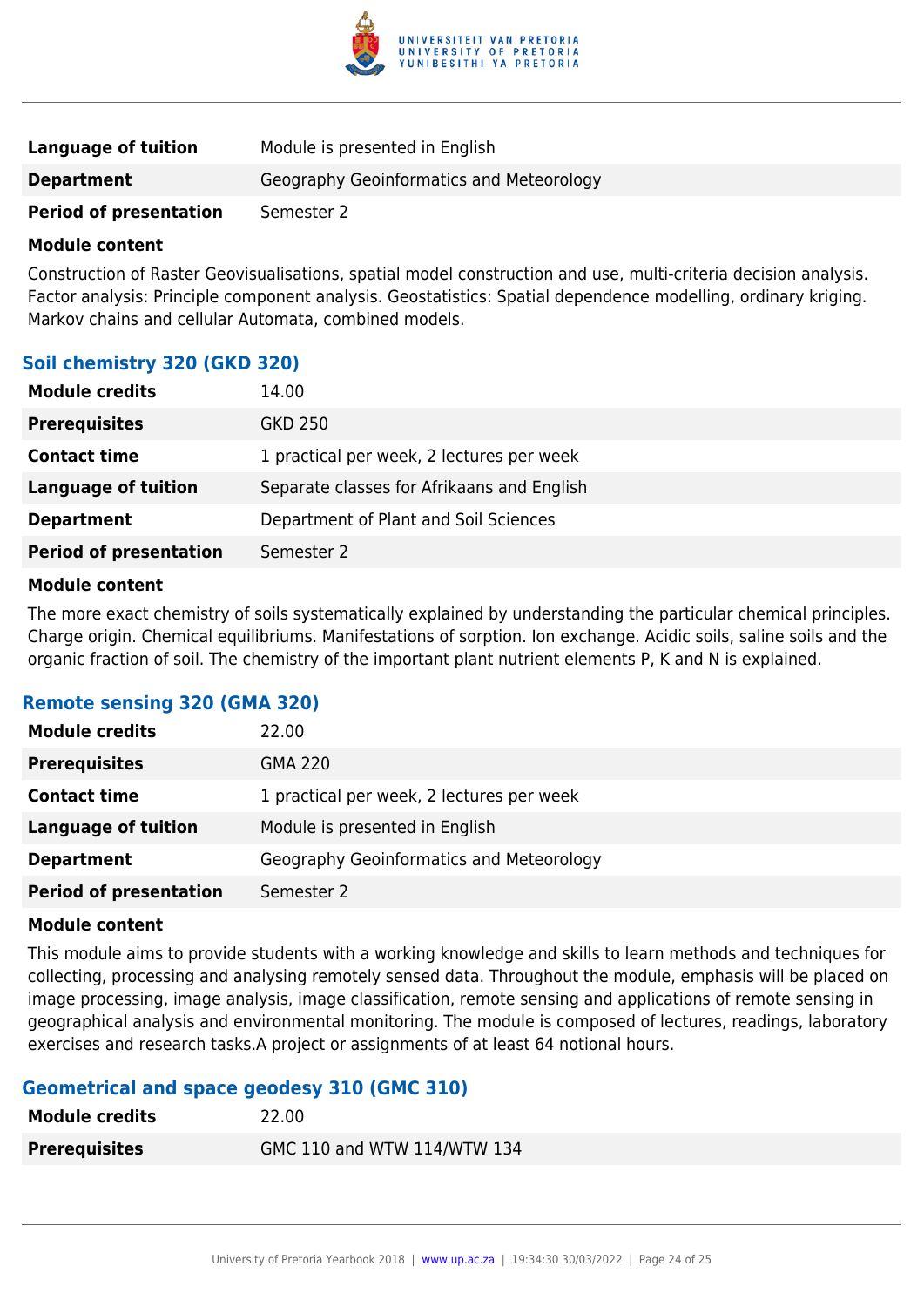

| Language of tuition           | Module is presented in English           |
|-------------------------------|------------------------------------------|
| <b>Department</b>             | Geography Geoinformatics and Meteorology |
| <b>Period of presentation</b> | Semester 2                               |

Construction of Raster Geovisualisations, spatial model construction and use, multi-criteria decision analysis. Factor analysis: Principle component analysis. Geostatistics: Spatial dependence modelling, ordinary kriging. Markov chains and cellular Automata, combined models.

# **Soil chemistry 320 (GKD 320)**

| <b>Module credits</b>         | 14.00                                      |
|-------------------------------|--------------------------------------------|
| <b>Prerequisites</b>          | GKD 250                                    |
| <b>Contact time</b>           | 1 practical per week, 2 lectures per week  |
| Language of tuition           | Separate classes for Afrikaans and English |
| <b>Department</b>             | Department of Plant and Soil Sciences      |
| <b>Period of presentation</b> | Semester 2                                 |

#### **Module content**

The more exact chemistry of soils systematically explained by understanding the particular chemical principles. Charge origin. Chemical equilibriums. Manifestations of sorption. Ion exchange. Acidic soils, saline soils and the organic fraction of soil. The chemistry of the important plant nutrient elements P, K and N is explained.

# **Remote sensing 320 (GMA 320)**

| <b>Module credits</b>         | 22.00                                     |
|-------------------------------|-------------------------------------------|
| <b>Prerequisites</b>          | <b>GMA 220</b>                            |
| <b>Contact time</b>           | 1 practical per week, 2 lectures per week |
| Language of tuition           | Module is presented in English            |
| <b>Department</b>             | Geography Geoinformatics and Meteorology  |
| <b>Period of presentation</b> | Semester 2                                |

#### **Module content**

This module aims to provide students with a working knowledge and skills to learn methods and techniques for collecting, processing and analysing remotely sensed data. Throughout the module, emphasis will be placed on image processing, image analysis, image classification, remote sensing and applications of remote sensing in geographical analysis and environmental monitoring. The module is composed of lectures, readings, laboratory exercises and research tasks.A project or assignments of at least 64 notional hours.

# **Geometrical and space geodesy 310 (GMC 310)**

| <b>Module credits</b> | 22.00                       |
|-----------------------|-----------------------------|
| <b>Prerequisites</b>  | GMC 110 and WTW 114/WTW 134 |